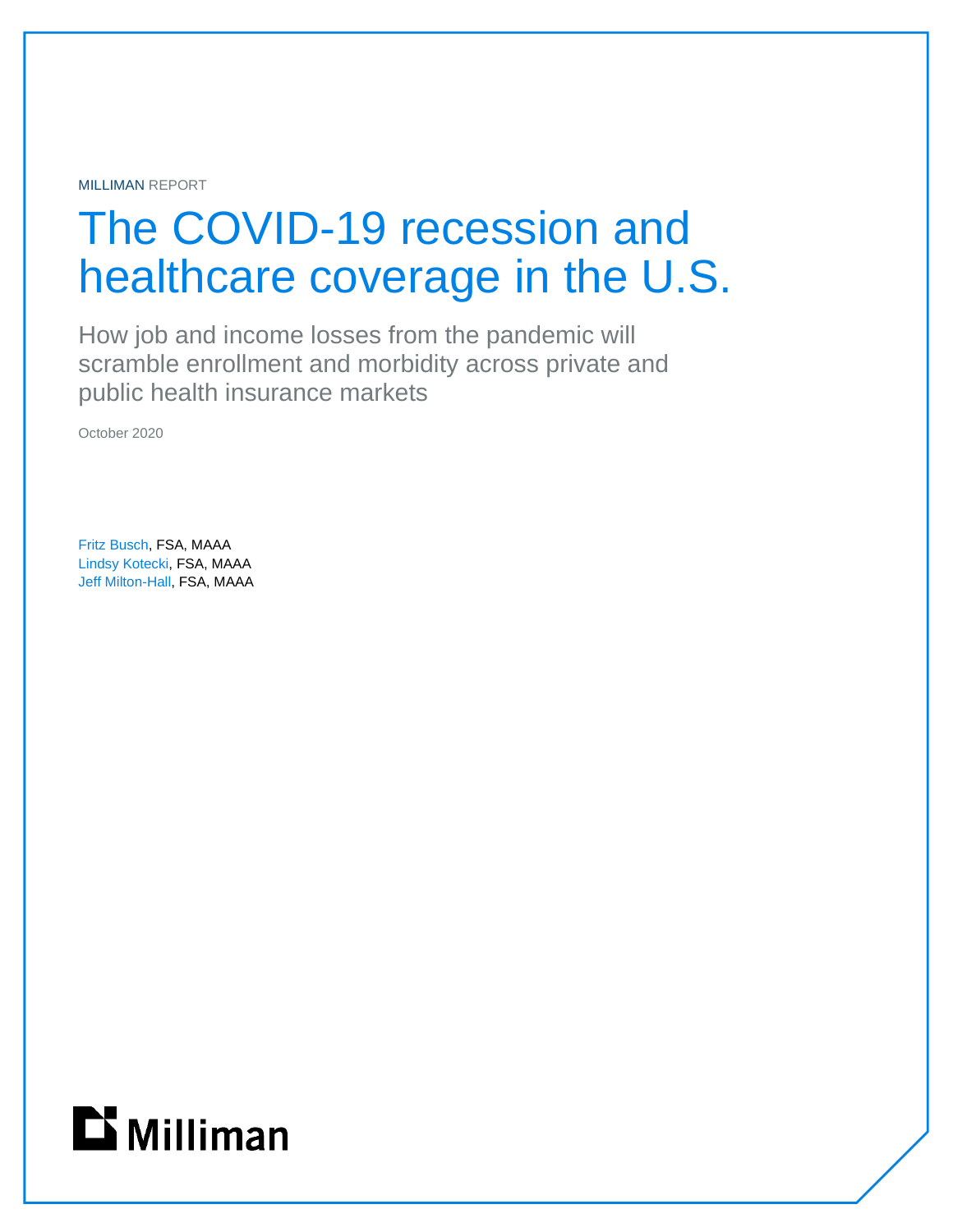MILLIMAN REPORT

# The COVID-19 recession and healthcare coverage in the U.S.

How job and income losses from the pandemic will scramble enrollment and morbidity across private and public health insurance markets

October 2020

Fritz Busch, FSA, MAAA Lindsy Kotecki, FSA, MAAA Jeff Milton-Hall, FSA, MAAA

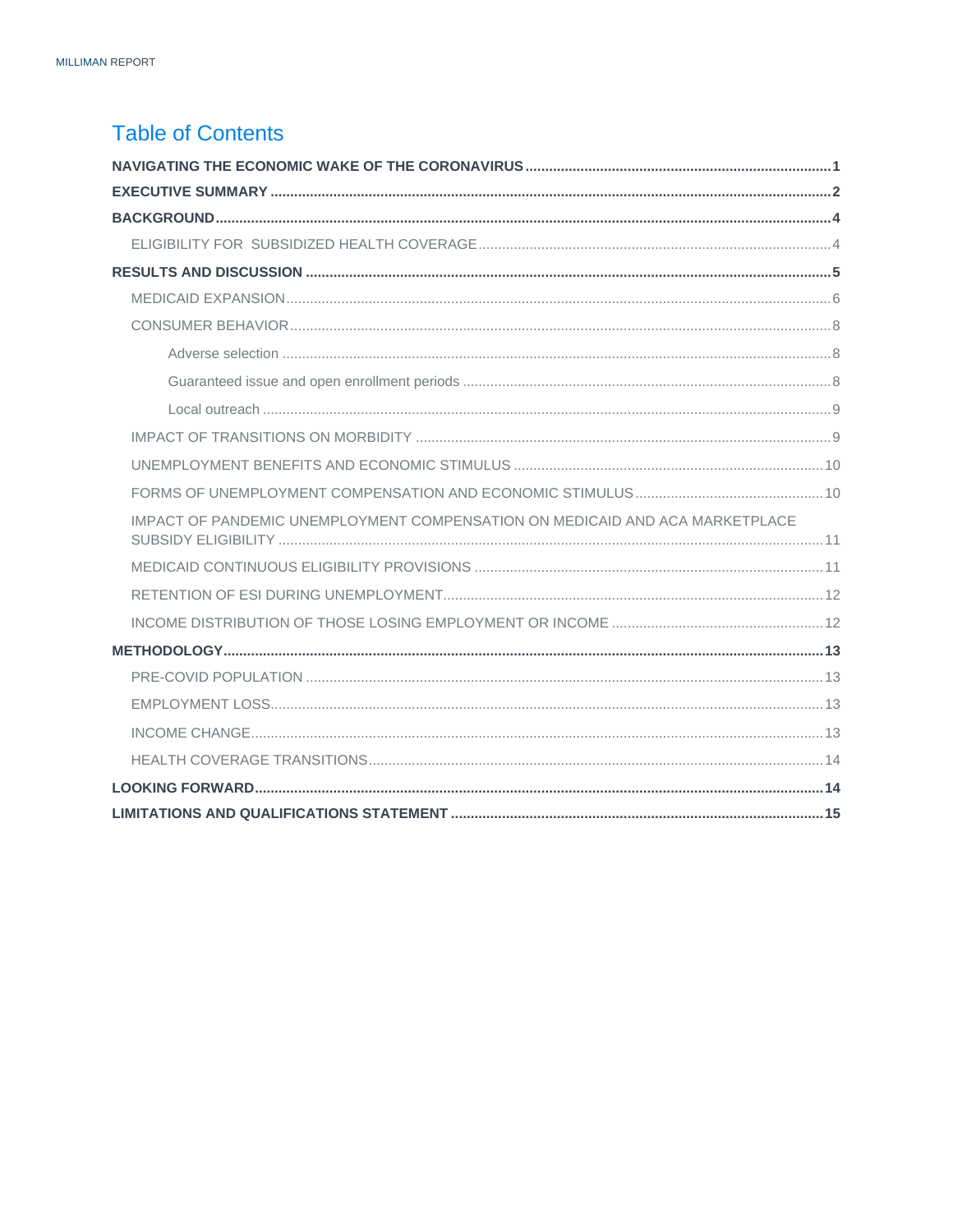### <span id="page-1-0"></span>**Table of Contents**

| IMPACT OF PANDEMIC UNEMPLOYMENT COMPENSATION ON MEDICAID AND ACA MARKETPLACE |  |
|------------------------------------------------------------------------------|--|
|                                                                              |  |
|                                                                              |  |
|                                                                              |  |
|                                                                              |  |
|                                                                              |  |
|                                                                              |  |
|                                                                              |  |
|                                                                              |  |
|                                                                              |  |
|                                                                              |  |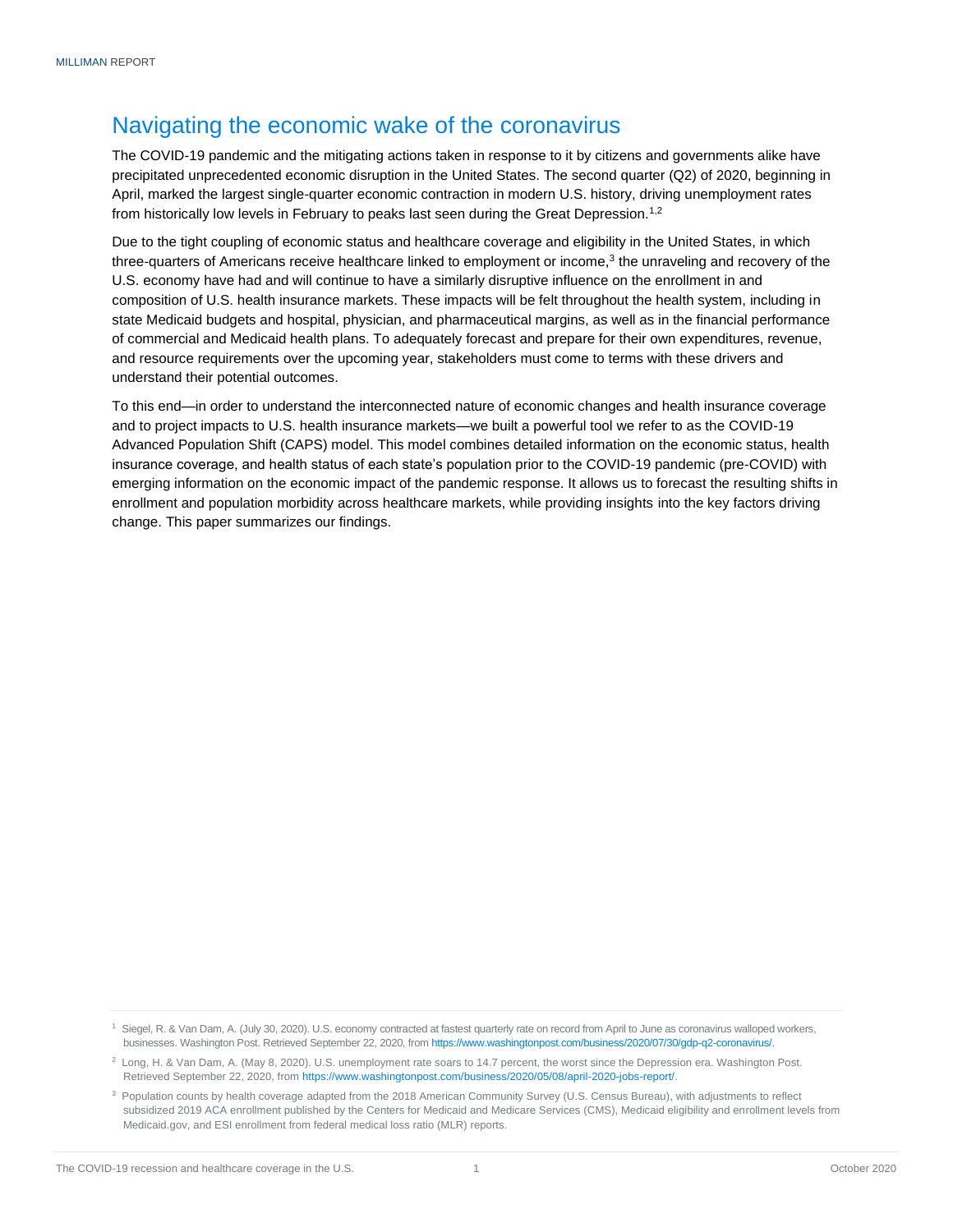### Navigating the economic wake of the coronavirus

The COVID-19 pandemic and the mitigating actions taken in response to it by citizens and governments alike have precipitated unprecedented economic disruption in the United States. The second quarter (Q2) of 2020, beginning in April, marked the largest single-quarter economic contraction in modern U.S. history, driving unemployment rates from historically low levels in February to peaks last seen during the Great Depression.<sup>1,2</sup>

Due to the tight coupling of economic status and healthcare coverage and eligibility in the United States, in which three-quarters of Americans receive healthcare linked to employment or income,<sup>3</sup> the unraveling and recovery of the U.S. economy have had and will continue to have a similarly disruptive influence on the enrollment in and composition of U.S. health insurance markets. These impacts will be felt throughout the health system, including in state Medicaid budgets and hospital, physician, and pharmaceutical margins, as well as in the financial performance of commercial and Medicaid health plans. To adequately forecast and prepare for their own expenditures, revenue, and resource requirements over the upcoming year, stakeholders must come to terms with these drivers and understand their potential outcomes.

<span id="page-2-0"></span>To this end—in order to understand the interconnected nature of economic changes and health insurance coverage and to project impacts to U.S. health insurance markets—we built a powerful tool we refer to as the COVID-19 Advanced Population Shift (CAPS) model. This model combines detailed information on the economic status, health insurance coverage, and health status of each state's population prior to the COVID-19 pandemic (pre-COVID) with emerging information on the economic impact of the pandemic response. It allows us to forecast the resulting shifts in enrollment and population morbidity across healthcare markets, while providing insights into the key factors driving change. This paper summarizes our findings.

<sup>1</sup> Siegel, R. & Van Dam, A. (July 30, 2020). U.S. economy contracted at fastest quarterly rate on record from April to June as coronavirus walloped workers, businesses. Washington Post. Retrieved September 22, 2020, fro[m https://www.washingtonpost.com/business/2020/07/30/gdp-q2-coronavirus/.](https://www.washingtonpost.com/business/2020/07/30/gdp-q2-coronavirus/)

<sup>2</sup> Long, H. & Van Dam, A. (May 8, 2020). U.S. unemployment rate soars to 14.7 percent, the worst since the Depression era. Washington Post. Retrieved September 22, 2020, fro[m https://www.washingtonpost.com/business/2020/05/08/april-2020-jobs-report/.](https://www.washingtonpost.com/business/2020/05/08/april-2020-jobs-report/)

<sup>&</sup>lt;sup>3</sup> Population counts by health coverage adapted from the 2018 American Community Survey (U.S. Census Bureau), with adjustments to reflect subsidized 2019 ACA enrollment published by the Centers for Medicaid and Medicare Services (CMS), Medicaid eligibility and enrollment levels from Medicaid.gov, and ESI enrollment from federal medical loss ratio (MLR) reports.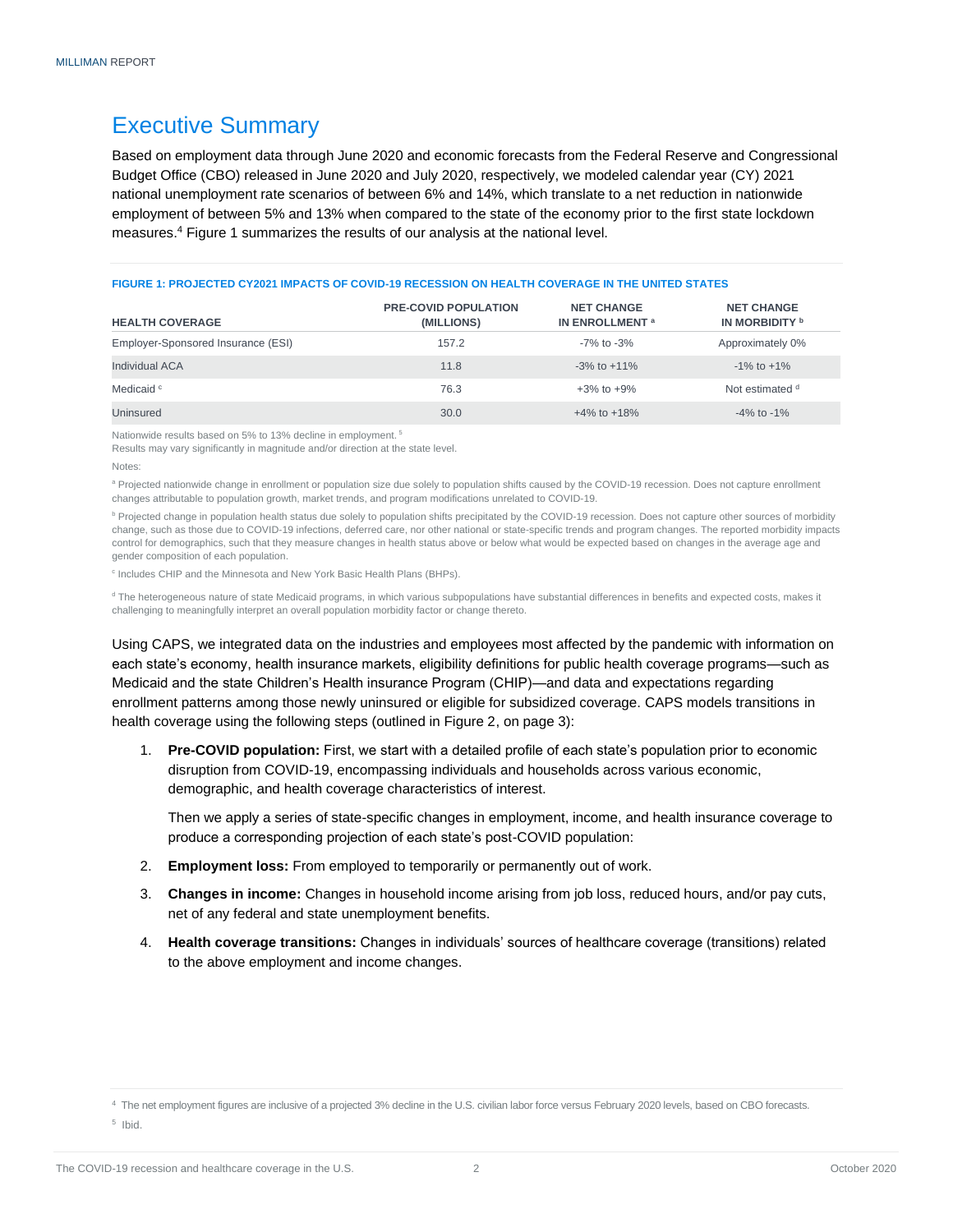### Executive Summary

Based on employment data through June 2020 and economic forecasts from the Federal Reserve and Congressional Budget Office (CBO) released in June 2020 and July 2020, respectively, we modeled calendar year (CY) 2021 national unemployment rate scenarios of between 6% and 14%, which translate to a net reduction in nationwide employment of between 5% and 13% when compared to the state of the economy prior to the first state lockdown measures.<sup>4</sup> Figure 1 summarizes the results of our analysis at the national level.

#### **FIGURE 1: PROJECTED CY2021 IMPACTS OF COVID-19 RECESSION ON HEALTH COVERAGE IN THE UNITED STATES**

| <b>HEALTH COVERAGE</b>             | <b>PRE-COVID POPULATION</b><br>(MILLIONS) | <b>NET CHANGE</b><br>IN ENROLLMENT <sup>a</sup> | <b>NET CHANGE</b><br>IN MORBIDITY <b>b</b> |
|------------------------------------|-------------------------------------------|-------------------------------------------------|--------------------------------------------|
| Employer-Sponsored Insurance (ESI) | 157.2                                     | -7% to -3%                                      | Approximately 0%                           |
| Individual ACA                     | 11.8                                      | $-3\%$ to $+11\%$                               | $-1\%$ to $+1\%$                           |
| Medicaid <sup>c</sup>              | 76.3                                      | $+3\%$ to $+9\%$                                | Not estimated d                            |
| Uninsured                          | 30.0                                      | $+4\%$ to $+18\%$                               | $-4\%$ to $-1\%$                           |

Nationwide results based on 5% to 13% decline in employment.<sup>5</sup>

Results may vary significantly in magnitude and/or direction at the state level.

a Projected nationwide change in enrollment or population size due solely to population shifts caused by the COVID-19 recession. Does not capture enrollment changes attributable to population growth, market trends, and program modifications unrelated to COVID-19.

**b Projected change in population health status due solely to population shifts precipitated by the COVID-19 recession. Does not capture other sources of morbidity** change, such as those due to COVID-19 infections, deferred care, nor other national or state-specific trends and program changes. The reported morbidity impacts control for demographics, such that they measure changes in health status above or below what would be expected based on changes in the average age and gender composition of each population.

<sup>c</sup> Includes CHIP and the Minnesota and New York Basic Health Plans (BHPs).

<sup>d</sup> The heterogeneous nature of state Medicaid programs, in which various subpopulations have substantial differences in benefits and expected costs, makes it challenging to meaningfully interpret an overall population morbidity factor or change thereto.

Using CAPS, we integrated data on the industries and employees most affected by the pandemic with information on each state's economy, health insurance markets, eligibility definitions for public health coverage programs—such as Medicaid and the state Children's Health insurance Program (CHIP)—and data and expectations regarding enrollment patterns among those newly uninsured or eligible for subsidized coverage. CAPS models transitions in health coverage using the following steps (outlined in Figure 2, on page 3):

1. **Pre-COVID population:** First, we start with a detailed profile of each state's population prior to economic disruption from COVID-19, encompassing individuals and households across various economic, demographic, and health coverage characteristics of interest.

Then we apply a series of state-specific changes in employment, income, and health insurance coverage to produce a corresponding projection of each state's post-COVID population:

- 2. **Employment loss:** From employed to temporarily or permanently out of work.
- 3. **Changes in income:** Changes in household income arising from job loss, reduced hours, and/or pay cuts, net of any federal and state unemployment benefits.
- 4. **Health coverage transitions:** Changes in individuals' sources of healthcare coverage (transitions) related to the above employment and income changes.

5 Ibid.

Notes:

<sup>&</sup>lt;sup>4</sup> The net employment figures are inclusive of a projected 3% decline in the U.S. civilian labor force versus February 2020 levels, based on CBO forecasts.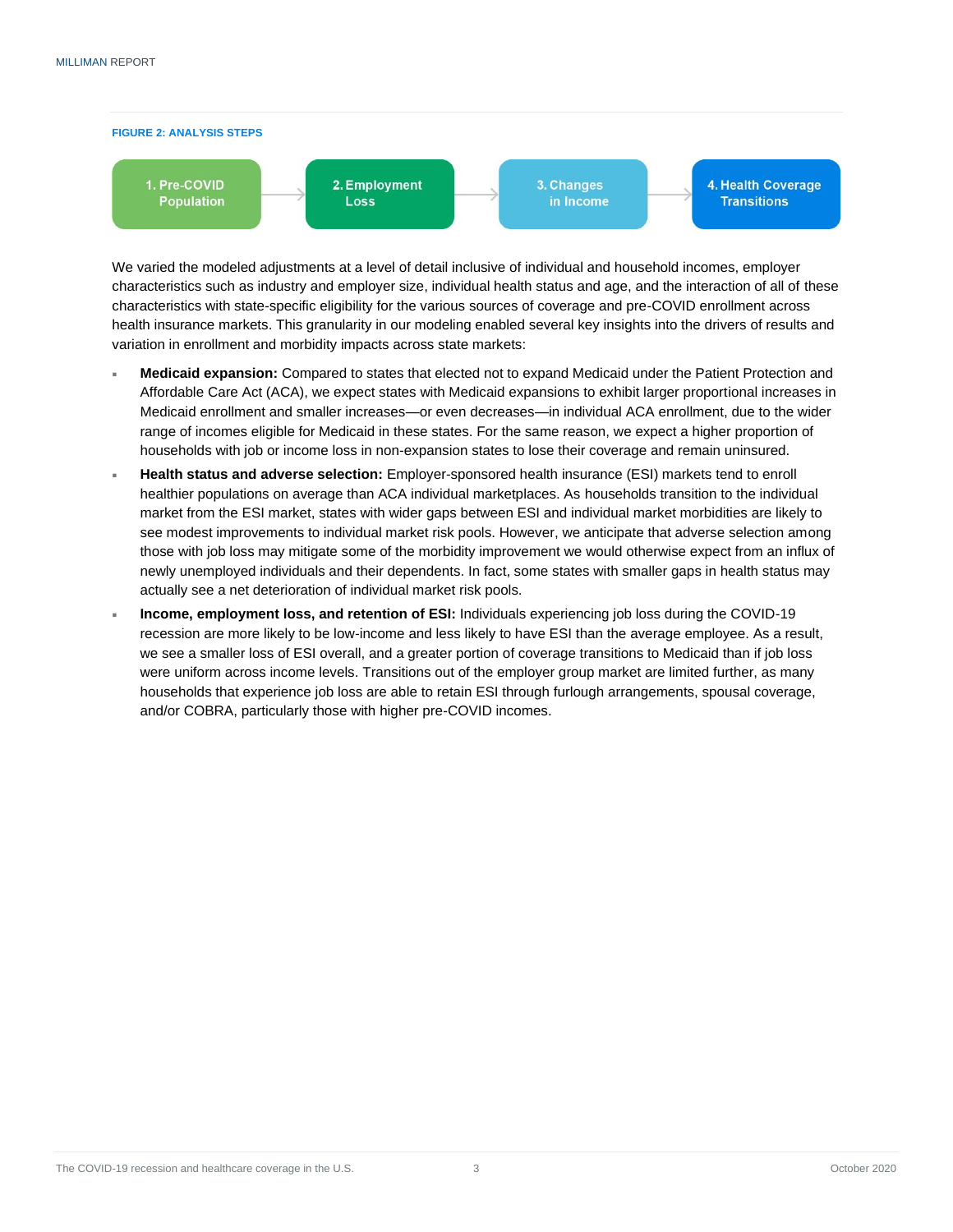

We varied the modeled adjustments at a level of detail inclusive of individual and household incomes, employer characteristics such as industry and employer size, individual health status and age, and the interaction of all of these characteristics with state-specific eligibility for the various sources of coverage and pre-COVID enrollment across health insurance markets. This granularity in our modeling enabled several key insights into the drivers of results and variation in enrollment and morbidity impacts across state markets:

- **Medicaid expansion:** Compared to states that elected not to expand Medicaid under the Patient Protection and Affordable Care Act (ACA), we expect states with Medicaid expansions to exhibit larger proportional increases in Medicaid enrollment and smaller increases—or even decreases—in individual ACA enrollment, due to the wider range of incomes eligible for Medicaid in these states. For the same reason, we expect a higher proportion of households with job or income loss in non-expansion states to lose their coverage and remain uninsured.
- **Health status and adverse selection:** Employer-sponsored health insurance (ESI) markets tend to enroll healthier populations on average than ACA individual marketplaces. As households transition to the individual market from the ESI market, states with wider gaps between ESI and individual market morbidities are likely to see modest improvements to individual market risk pools. However, we anticipate that adverse selection among those with job loss may mitigate some of the morbidity improvement we would otherwise expect from an influx of newly unemployed individuals and their dependents. In fact, some states with smaller gaps in health status may actually see a net deterioration of individual market risk pools.
- **Income, employment loss, and retention of ESI:** Individuals experiencing job loss during the COVID-19 recession are more likely to be low-income and less likely to have ESI than the average employee. As a result, we see a smaller loss of ESI overall, and a greater portion of coverage transitions to Medicaid than if job loss were uniform across income levels. Transitions out of the employer group market are limited further, as many households that experience job loss are able to retain ESI through furlough arrangements, spousal coverage, and/or COBRA, particularly those with higher pre-COVID incomes.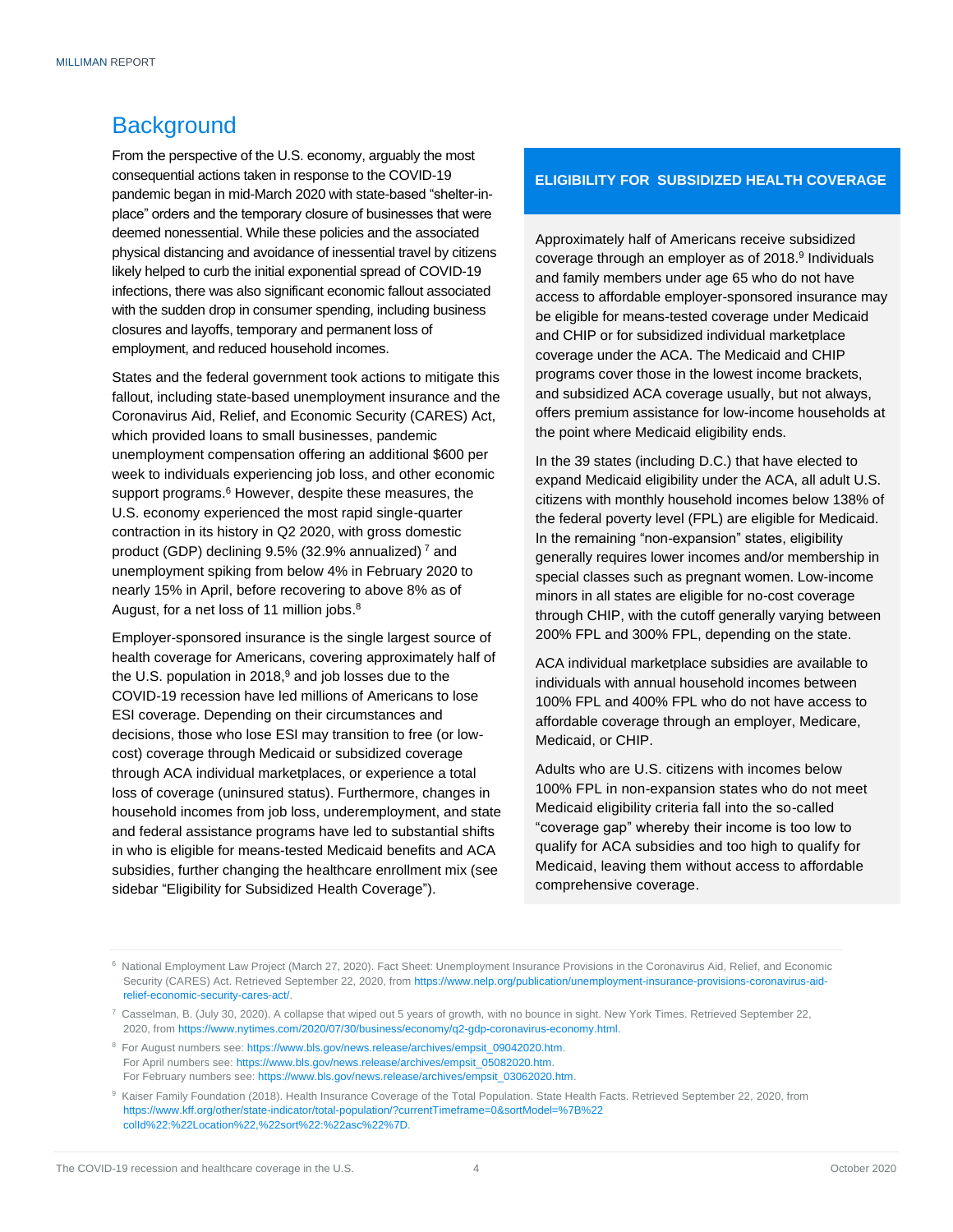### <span id="page-5-0"></span>**Background**

From the perspective of the U.S. economy, arguably the most consequential actions taken in response to the COVID-19 pandemic began in mid-March 2020 with state-based "shelter-inplace" orders and the temporary closure of businesses that were deemed nonessential. While these policies and the associated physical distancing and avoidance of inessential travel by citizens likely helped to curb the initial exponential spread of COVID-19 infections, there was also significant economic fallout associated with the sudden drop in consumer spending, including business closures and layoffs, temporary and permanent loss of employment, and reduced household incomes.

States and the federal government took actions to mitigate this fallout, including state-based unemployment insurance and the Coronavirus Aid, Relief, and Economic Security (CARES) Act, which provided loans to small businesses, pandemic unemployment compensation offering an additional \$600 per week to individuals experiencing job loss, and other economic support programs.<sup>6</sup> However, despite these measures, the U.S. economy experienced the most rapid single-quarter contraction in its history in Q2 2020, with gross domestic product (GDP) declining 9.5% (32.9% annualized) <sup>7</sup> and unemployment spiking from below 4% in February 2020 to nearly 15% in April, before recovering to above 8% as of August, for a net loss of 11 million jobs.<sup>8</sup>

Employer-sponsored insurance is the single largest source of health coverage for Americans, covering approximately half of the U.S. population in  $2018<sup>9</sup>$  and job losses due to the COVID-19 recession have led millions of Americans to lose ESI coverage. Depending on their circumstances and decisions, those who lose ESI may transition to free (or lowcost) coverage through Medicaid or subsidized coverage through ACA individual marketplaces, or experience a total loss of coverage (uninsured status). Furthermore, changes in household incomes from job loss, underemployment, and state and federal assistance programs have led to substantial shifts in who is eligible for means-tested Medicaid benefits and ACA subsidies, further changing the healthcare enrollment mix (see sidebar "Eligibility for Subsidized Health Coverage").

#### **ELIGIBILITY FOR SUBSIDIZED HEALTH COVERAGE**

Approximately half of Americans receive subsidized coverage through an employer as of 2018. 9 Individuals and family members under age 65 who do not have access to affordable employer-sponsored insurance may be eligible for means-tested coverage under Medicaid and CHIP or for subsidized individual marketplace coverage under the ACA. The Medicaid and CHIP programs cover those in the lowest income brackets, and subsidized ACA coverage usually, but not always, offers premium assistance for low-income households at the point where Medicaid eligibility ends.

In the 39 states (including D.C.) that have elected to expand Medicaid eligibility under the ACA, all adult U.S. citizens with monthly household incomes below 138% of the federal poverty level (FPL) are eligible for Medicaid. In the remaining "non-expansion" states, eligibility generally requires lower incomes and/or membership in special classes such as pregnant women. Low-income minors in all states are eligible for no-cost coverage through CHIP, with the cutoff generally varying between 200% FPL and 300% FPL, depending on the state.

ACA individual marketplace subsidies are available to individuals with annual household incomes between 100% FPL and 400% FPL who do not have access to affordable coverage through an employer, Medicare, Medicaid, or CHIP.

Adults who are U.S. citizens with incomes below 100% FPL in non-expansion states who do not meet Medicaid eligibility criteria fall into the so-called "coverage gap" whereby their income is too low to qualify for ACA subsidies and too high to qualify for Medicaid, leaving them without access to affordable comprehensive coverage.

- <sup>8</sup> For August numbers see: https://www.bls.gov/news.release/archives/empsit\_09042020.htm. For April numbers see: [https://www.bls.gov/news.release/archives/empsit\\_05082020.htm.](https://www.bls.gov/news.release/archives/empsit_05082020.htm)  For February numbers see: [https://www.bls.gov/news.release/archives/empsit\\_03062020.htm.](https://www.bls.gov/news.release/archives/empsit_03062020.htm)
- <sup>9</sup> Kaiser Family Foundation (2018). Health Insurance Coverage of the Total Population. State Health Facts. Retrieved September 22, 2020, from [https://www.kff.org/other/state-indicator/total-population/?currentTimeframe=0&sortModel=%7B%22](https://www.kff.org/other/state-indicator/total-population/?currentTimeframe=0&sortModel=%7B%22colId%22:%22Location%22,%22sort%22) [colId%22:%22Location%22,%22sort%22:%](https://www.kff.org/other/state-indicator/total-population/?currentTimeframe=0&sortModel=%7B%22colId%22:%22Location%22,%22sort%22)22asc%22%7D.

<sup>&</sup>lt;sup>6</sup> National Employment Law Project (March 27, 2020). Fact Sheet: Unemployment Insurance Provisions in the Coronavirus Aid, Relief, and Economic Security (CARES) Act. Retrieved September 22, 2020, fro[m https://www.nelp.org/publication/unemployment-insurance-provisions-coronavirus-aid](https://www.nelp.org/publication/unemployment-insurance-provisions-coronavirus-aid-relief-economic-security-cares-act/)[relief-economic-security-cares-act/.](https://www.nelp.org/publication/unemployment-insurance-provisions-coronavirus-aid-relief-economic-security-cares-act/)

 $^7$  Casselman, B. (July 30, 2020). A collapse that wiped out 5 years of growth, with no bounce in sight. New York Times. Retrieved September 22, 2020, fro[m https://www.nytimes.com/2020/07/30/business/economy/q2-gdp-coronavirus-economy.html.](https://www.nytimes.com/2020/07/30/business/economy/q2-gdp-coronavirus-economy.html)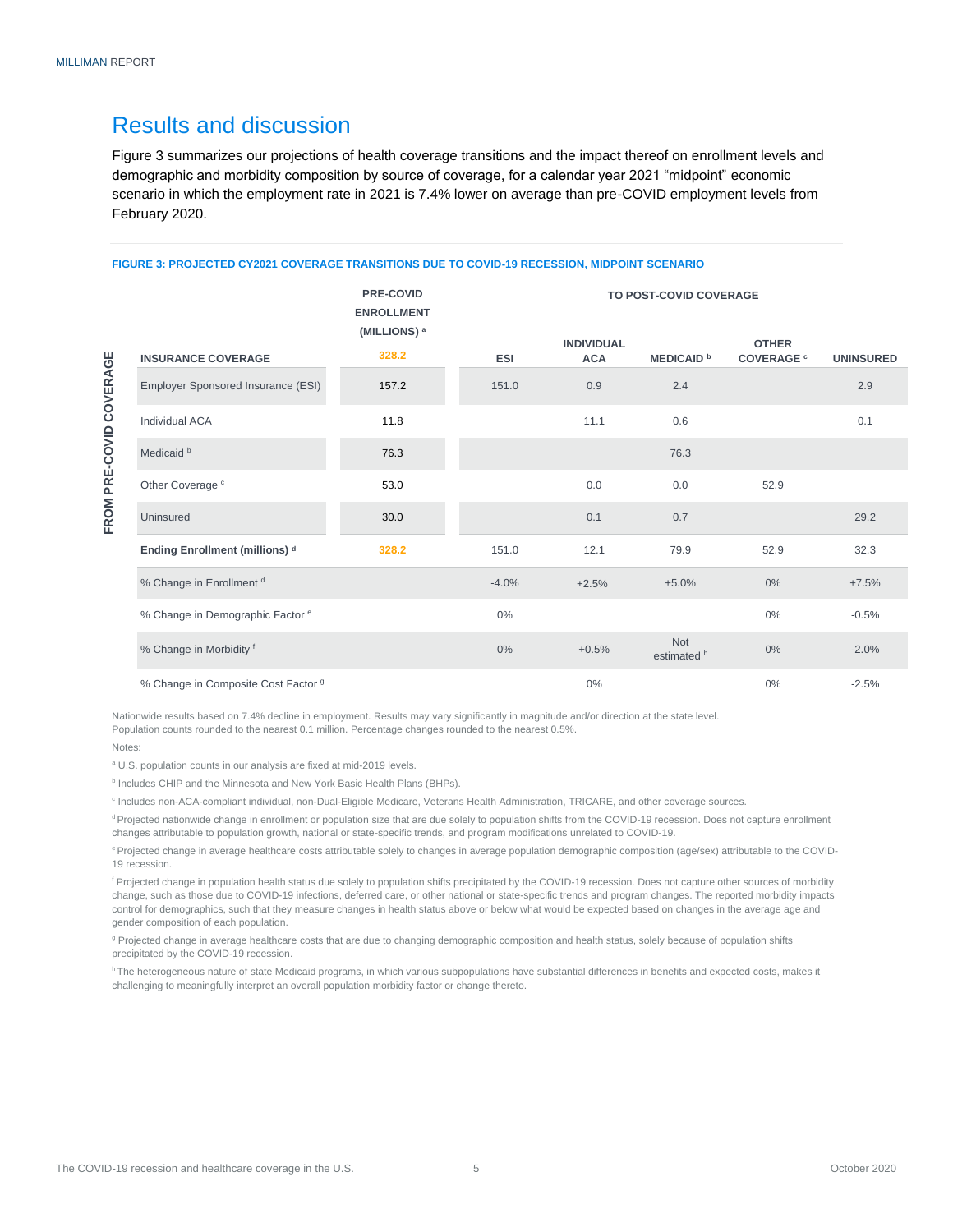### <span id="page-6-0"></span>Results and discussion

Figure 3 summarizes our projections of health coverage transitions and the impact thereof on enrollment levels and demographic and morbidity composition by source of coverage, for a calendar year 2021 "midpoint" economic scenario in which the employment rate in 2021 is 7.4% lower on average than pre-COVID employment levels from February 2020.

#### **FIGURE 3: PROJECTED CY2021 COVERAGE TRANSITIONS DUE TO COVID-19 RECESSION, MIDPOINT SCENARIO**

**PRE-COVID**

FROM PRE-COVID COVERAGE **FROM PRE-COVID COVERAGE**

|                                             | <b>ENROLLMENT</b><br>(MILLIONS) <sup>a</sup> |         |                                 |                           |                                   |                  |
|---------------------------------------------|----------------------------------------------|---------|---------------------------------|---------------------------|-----------------------------------|------------------|
| <b>INSURANCE COVERAGE</b>                   | 328.2                                        | ESI     | <b>INDIVIDUAL</b><br><b>ACA</b> | <b>MEDICAID</b> b         | <b>OTHER</b><br><b>COVERAGE</b> ° | <b>UNINSURED</b> |
| Employer Sponsored Insurance (ESI)          | 157.2                                        | 151.0   | 0.9                             | 2.4                       |                                   | 2.9              |
| Individual ACA                              | 11.8                                         |         | 11.1                            | 0.6                       |                                   | 0.1              |
| Medicaid <sup>b</sup>                       | 76.3                                         |         |                                 | 76.3                      |                                   |                  |
| Other Coverage <sup>c</sup>                 | 53.0                                         |         | 0.0                             | 0.0                       | 52.9                              |                  |
| Uninsured                                   | 30.0                                         |         | 0.1                             | 0.7                       |                                   | 29.2             |
| Ending Enrollment (millions) d              | 328.2                                        | 151.0   | 12.1                            | 79.9                      | 52.9                              | 32.3             |
| % Change in Enrollment d                    |                                              | $-4.0%$ | $+2.5%$                         | $+5.0%$                   | $0\%$                             | $+7.5%$          |
| % Change in Demographic Factor <sup>e</sup> |                                              | $0\%$   |                                 |                           | $0\%$                             | $-0.5%$          |
| % Change in Morbidity f                     |                                              | $0\%$   | $+0.5%$                         | <b>Not</b><br>estimated h | $0\%$                             | $-2.0%$          |
| % Change in Composite Cost Factor 9         |                                              |         | 0%                              |                           | $0\%$                             | $-2.5%$          |

**TO POST-COVID COVERAGE**

Nationwide results based on 7.4% decline in employment. Results may vary significantly in magnitude and/or direction at the state level. Population counts rounded to the nearest 0.1 million. Percentage changes rounded to the nearest 0.5%.

#### Notes:

<sup>a</sup> U.S. population counts in our analysis are fixed at mid-2019 levels.

<sup>b</sup> Includes CHIP and the Minnesota and New York Basic Health Plans (BHPs).

<sup>c</sup> Includes non-ACA-compliant individual, non-Dual-Eligible Medicare, Veterans Health Administration, TRICARE, and other coverage sources.

<sup>d</sup> Projected nationwide change in enrollment or population size that are due solely to population shifts from the COVID-19 recession. Does not capture enrollment changes attributable to population growth, national or state-specific trends, and program modifications unrelated to COVID-19.

<sup>e</sup> Projected change in average healthcare costs attributable solely to changes in average population demographic composition (age/sex) attributable to the COVID-19 recession.

<sup>f</sup> Projected change in population health status due solely to population shifts precipitated by the COVID-19 recession. Does not capture other sources of morbidity change, such as those due to COVID-19 infections, deferred care, or other national or state-specific trends and program changes. The reported morbidity impacts control for demographics, such that they measure changes in health status above or below what would be expected based on changes in the average age and gender composition of each population.

<sup>g</sup> Projected change in average healthcare costs that are due to changing demographic composition and health status, solely because of population shifts precipitated by the COVID-19 recession.

hThe heterogeneous nature of state Medicaid programs, in which various subpopulations have substantial differences in benefits and expected costs, makes it challenging to meaningfully interpret an overall population morbidity factor or change thereto.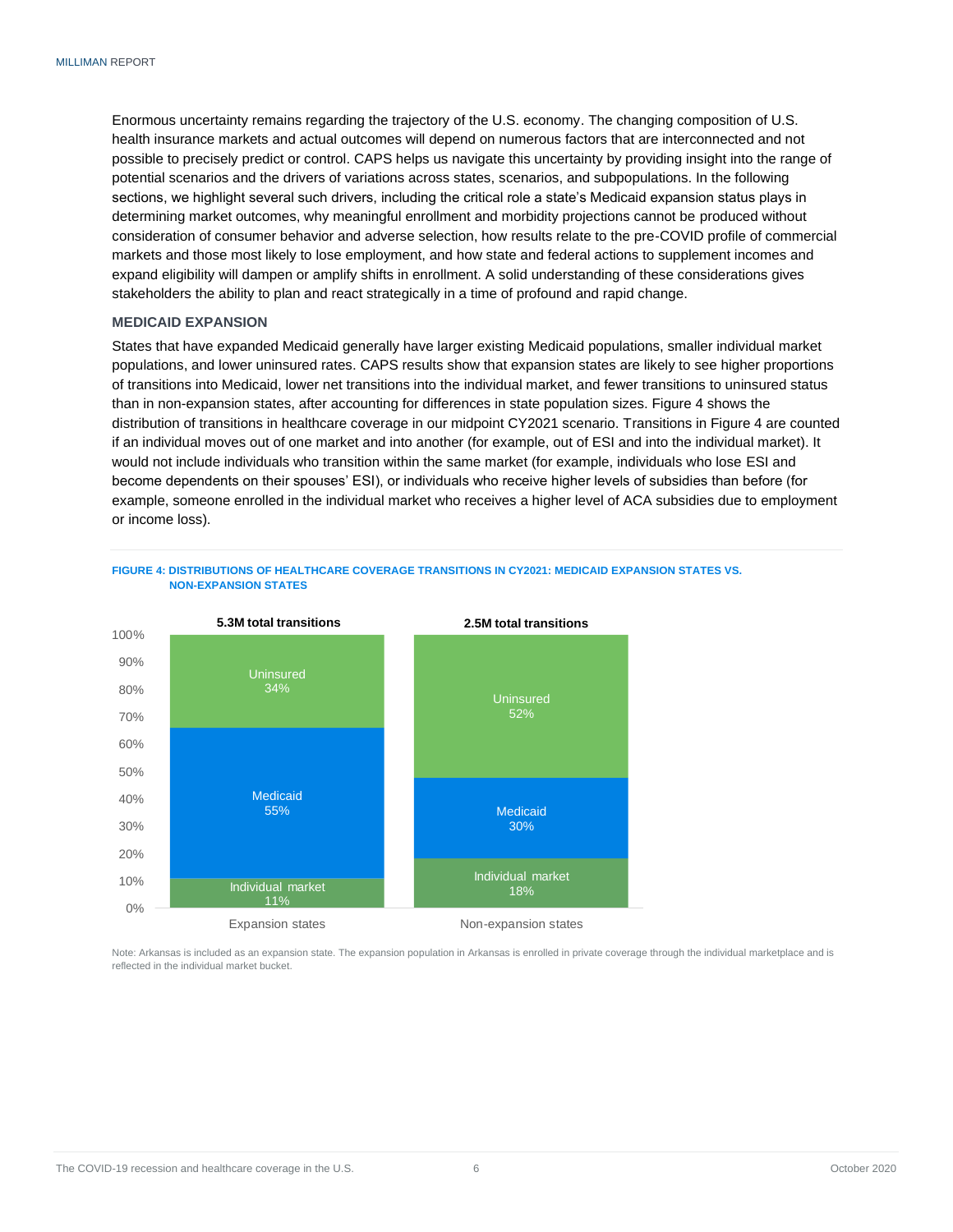Enormous uncertainty remains regarding the trajectory of the U.S. economy. The changing composition of U.S. health insurance markets and actual outcomes will depend on numerous factors that are interconnected and not possible to precisely predict or control. CAPS helps us navigate this uncertainty by providing insight into the range of potential scenarios and the drivers of variations across states, scenarios, and subpopulations. In the following sections, we highlight several such drivers, including the critical role a state's Medicaid expansion status plays in determining market outcomes, why meaningful enrollment and morbidity projections cannot be produced without consideration of consumer behavior and adverse selection, how results relate to the pre-COVID profile of commercial markets and those most likely to lose employment, and how state and federal actions to supplement incomes and expand eligibility will dampen or amplify shifts in enrollment. A solid understanding of these considerations gives stakeholders the ability to plan and react strategically in a time of profound and rapid change.

#### <span id="page-7-0"></span>**MEDICAID EXPANSION**

States that have expanded Medicaid generally have larger existing Medicaid populations, smaller individual market populations, and lower uninsured rates. CAPS results show that expansion states are likely to see higher proportions of transitions into Medicaid, lower net transitions into the individual market, and fewer transitions to uninsured status than in non-expansion states, after accounting for differences in state population sizes. Figure 4 shows the distribution of transitions in healthcare coverage in our midpoint CY2021 scenario. Transitions in Figure 4 are counted if an individual moves out of one market and into another (for example, out of ESI and into the individual market). It would not include individuals who transition within the same market (for example, individuals who lose ESI and become dependents on their spouses' ESI), or individuals who receive higher levels of subsidies than before (for example, someone enrolled in the individual market who receives a higher level of ACA subsidies due to employment or income loss).





Note: Arkansas is included as an expansion state. The expansion population in Arkansas is enrolled in private coverage through the individual marketplace and is reflected in the individual market bucket.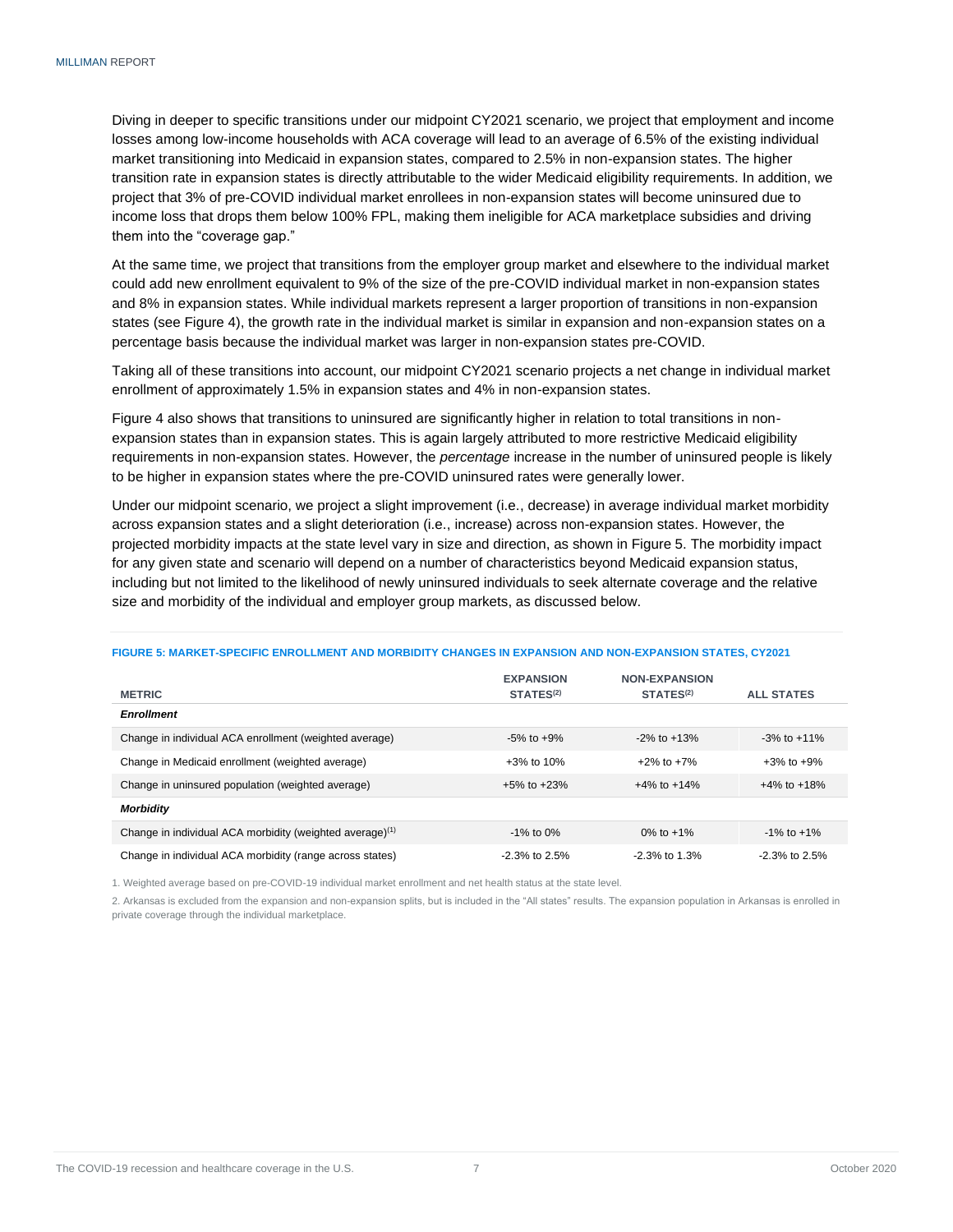Diving in deeper to specific transitions under our midpoint CY2021 scenario, we project that employment and income losses among low-income households with ACA coverage will lead to an average of 6.5% of the existing individual market transitioning into Medicaid in expansion states, compared to 2.5% in non-expansion states. The higher transition rate in expansion states is directly attributable to the wider Medicaid eligibility requirements. In addition, we project that 3% of pre-COVID individual market enrollees in non-expansion states will become uninsured due to income loss that drops them below 100% FPL, making them ineligible for ACA marketplace subsidies and driving them into the "coverage gap."

At the same time, we project that transitions from the employer group market and elsewhere to the individual market could add new enrollment equivalent to 9% of the size of the pre-COVID individual market in non-expansion states and 8% in expansion states. While individual markets represent a larger proportion of transitions in non-expansion states (see Figure 4), the growth rate in the individual market is similar in expansion and non-expansion states on a percentage basis because the individual market was larger in non-expansion states pre-COVID.

Taking all of these transitions into account, our midpoint CY2021 scenario projects a net change in individual market enrollment of approximately 1.5% in expansion states and 4% in non-expansion states.

Figure 4 also shows that transitions to uninsured are significantly higher in relation to total transitions in nonexpansion states than in expansion states. This is again largely attributed to more restrictive Medicaid eligibility requirements in non-expansion states. However, the *percentage* increase in the number of uninsured people is likely to be higher in expansion states where the pre-COVID uninsured rates were generally lower.

Under our midpoint scenario, we project a slight improvement (i.e., decrease) in average individual market morbidity across expansion states and a slight deterioration (i.e., increase) across non-expansion states. However, the projected morbidity impacts at the state level vary in size and direction, as shown in Figure 5. The morbidity impact for any given state and scenario will depend on a number of characteristics beyond Medicaid expansion status, including but not limited to the likelihood of newly uninsured individuals to seek alternate coverage and the relative size and morbidity of the individual and employer group markets, as discussed below.

#### **FIGURE 5: MARKET-SPECIFIC ENROLLMENT AND MORBIDITY CHANGES IN EXPANSION AND NON-EXPANSION STATES, CY2021**

| <b>METRIC</b>                                                        | <b>EXPANSION</b><br>STATES <sup>(2)</sup> | <b>NON-EXPANSION</b><br>STATES <sup>(2)</sup> | <b>ALL STATES</b> |
|----------------------------------------------------------------------|-------------------------------------------|-----------------------------------------------|-------------------|
| <b>Enrollment</b>                                                    |                                           |                                               |                   |
| Change in individual ACA enrollment (weighted average)               | $-5\%$ to $+9\%$                          | $-2\%$ to $+13\%$                             | $-3\%$ to $+11\%$ |
| Change in Medicaid enrollment (weighted average)                     | $+3\%$ to 10%                             | $+2\%$ to $+7\%$                              | $+3\%$ to $+9\%$  |
| Change in uninsured population (weighted average)                    | $+5\%$ to $+23\%$                         | $+4\%$ to $+14\%$                             | $+4\%$ to $+18\%$ |
| <b>Morbidity</b>                                                     |                                           |                                               |                   |
| Change in individual ACA morbidity (weighted average) <sup>(1)</sup> | $-1\%$ to 0%                              | 0\% to $+1\%$                                 | $-1\%$ to $+1\%$  |
| Change in individual ACA morbidity (range across states)             | $-2.3\%$ to 2.5%                          | $-2.3\%$ to 1.3%                              | $-2.3\%$ to 2.5%  |

1. Weighted average based on pre-COVID-19 individual market enrollment and net health status at the state level.

2. Arkansas is excluded from the expansion and non-expansion splits, but is included in the "All states" results. The expansion population in Arkansas is enrolled in private coverage through the individual marketplace.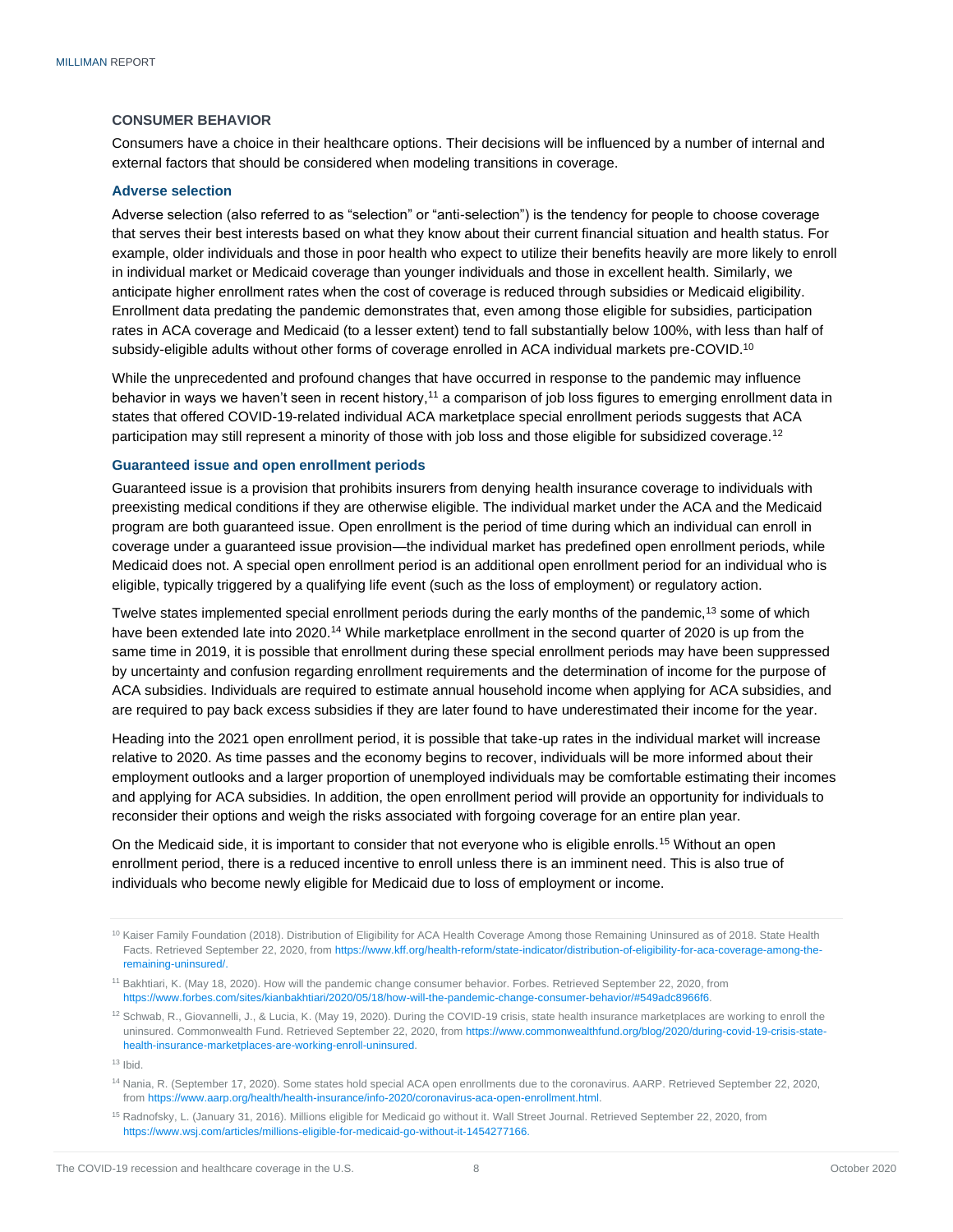#### <span id="page-9-0"></span>**CONSUMER BEHAVIOR**

Consumers have a choice in their healthcare options. Their decisions will be influenced by a number of internal and external factors that should be considered when modeling transitions in coverage.

#### <span id="page-9-1"></span>**Adverse selection**

Adverse selection (also referred to as "selection" or "anti-selection") is the tendency for people to choose coverage that serves their best interests based on what they know about their current financial situation and health status. For example, older individuals and those in poor health who expect to utilize their benefits heavily are more likely to enroll in individual market or Medicaid coverage than younger individuals and those in excellent health. Similarly, we anticipate higher enrollment rates when the cost of coverage is reduced through subsidies or Medicaid eligibility. Enrollment data predating the pandemic demonstrates that, even among those eligible for subsidies, participation rates in ACA coverage and Medicaid (to a lesser extent) tend to fall substantially below 100%, with less than half of subsidy-eligible adults without other forms of coverage enrolled in ACA individual markets pre-COVID.<sup>10</sup>

While the unprecedented and profound changes that have occurred in response to the pandemic may influence behavior in ways we haven't seen in recent history,<sup>11</sup> a comparison of job loss figures to emerging enrollment data in states that offered COVID-19-related individual ACA marketplace special enrollment periods suggests that ACA participation may still represent a minority of those with job loss and those eligible for subsidized coverage.<sup>12</sup>

#### <span id="page-9-2"></span>**Guaranteed issue and open enrollment periods**

Guaranteed issue is a provision that prohibits insurers from denying health insurance coverage to individuals with preexisting medical conditions if they are otherwise eligible. The individual market under the ACA and the Medicaid program are both guaranteed issue. Open enrollment is the period of time during which an individual can enroll in coverage under a guaranteed issue provision—the individual market has predefined open enrollment periods, while Medicaid does not. A special open enrollment period is an additional open enrollment period for an individual who is eligible, typically triggered by a qualifying life event (such as the loss of employment) or regulatory action.

Twelve states implemented special enrollment periods during the early months of the pandemic,<sup>13</sup> some of which have been extended late into 2020.<sup>14</sup> While marketplace enrollment in the second quarter of 2020 is up from the same time in 2019, it is possible that enrollment during these special enrollment periods may have been suppressed by uncertainty and confusion regarding enrollment requirements and the determination of income for the purpose of ACA subsidies. Individuals are required to estimate annual household income when applying for ACA subsidies, and are required to pay back excess subsidies if they are later found to have underestimated their income for the year.

Heading into the 2021 open enrollment period, it is possible that take-up rates in the individual market will increase relative to 2020. As time passes and the economy begins to recover, individuals will be more informed about their employment outlooks and a larger proportion of unemployed individuals may be comfortable estimating their incomes and applying for ACA subsidies. In addition, the open enrollment period will provide an opportunity for individuals to reconsider their options and weigh the risks associated with forgoing coverage for an entire plan year.

On the Medicaid side, it is important to consider that not everyone who is eligible enrolls.<sup>15</sup> Without an open enrollment period, there is a reduced incentive to enroll unless there is an imminent need. This is also true of individuals who become newly eligible for Medicaid due to loss of employment or income.

<sup>&</sup>lt;sup>10</sup> Kaiser Family Foundation (2018). Distribution of Eligibility for ACA Health Coverage Among those Remaining Uninsured as of 2018. State Health Facts. Retrieved September 22, 2020, fro[m https://www.kff.org/health-reform/state-indicator/distribution-of-eligibility-for-aca-coverage-among-the](https://www.kff.org/health-reform/state-indicator/distribution-of-eligibility-for-aca-coverage-among-the-remaining-uninsured/)[remaining-uninsured/.](https://www.kff.org/health-reform/state-indicator/distribution-of-eligibility-for-aca-coverage-among-the-remaining-uninsured/)

<sup>11</sup> Bakhtiari, K. (May 18, 2020). How will the pandemic change consumer behavior. Forbes. Retrieved September 22, 2020, from [https://www.forbes.com/sites/kianbakhtiari/2020/05/18/how-will-the-pandemic-change-consumer-behavior/#549adc8966f6.](https://www.forbes.com/sites/kianbakhtiari/2020/05/18/how-will-the-pandemic-change-consumer-behavior/%23549adc8966f6)

<sup>&</sup>lt;sup>12</sup> Schwab, R., Giovannelli, J., & Lucia, K. (May 19, 2020). During the COVID-19 crisis, state health insurance marketplaces are working to enroll the uninsured. Commonwealth Fund. Retrieved September 22, 2020, fro[m https://www.commonwealthfund.org/blog/2020/during-covid-19-crisis-state](https://www.commonwealthfund.org/blog/2020/during-covid-19-crisis-state-health-insurance-marketplaces-are-working-enroll-uninsured)[health-insurance-marketplaces-are-working-enroll-uninsured.](https://www.commonwealthfund.org/blog/2020/during-covid-19-crisis-state-health-insurance-marketplaces-are-working-enroll-uninsured)

 $13$  Ibid.

<sup>&</sup>lt;sup>14</sup> Nania, R. (September 17, 2020). Some states hold special ACA open enrollments due to the coronavirus. AARP. Retrieved September 22, 2020, fro[m https://www.aarp.org/health/health-insurance/info-2020/coronavirus-aca-open-enrollment.html.](https://www.aarp.org/health/health-insurance/info-2020/coronavirus-aca-open-enrollment.html)

<sup>&</sup>lt;sup>15</sup> Radnofsky, L. (January 31, 2016). Millions eligible for Medicaid go without it. Wall Street Journal. Retrieved September 22, 2020, from [https://www.wsj.com/articles/millions-eligible-for-medicaid-go-without-it-1454277166.](https://www.wsj.com/articles/millions-eligible-for-medicaid-go-without-it-1454277166)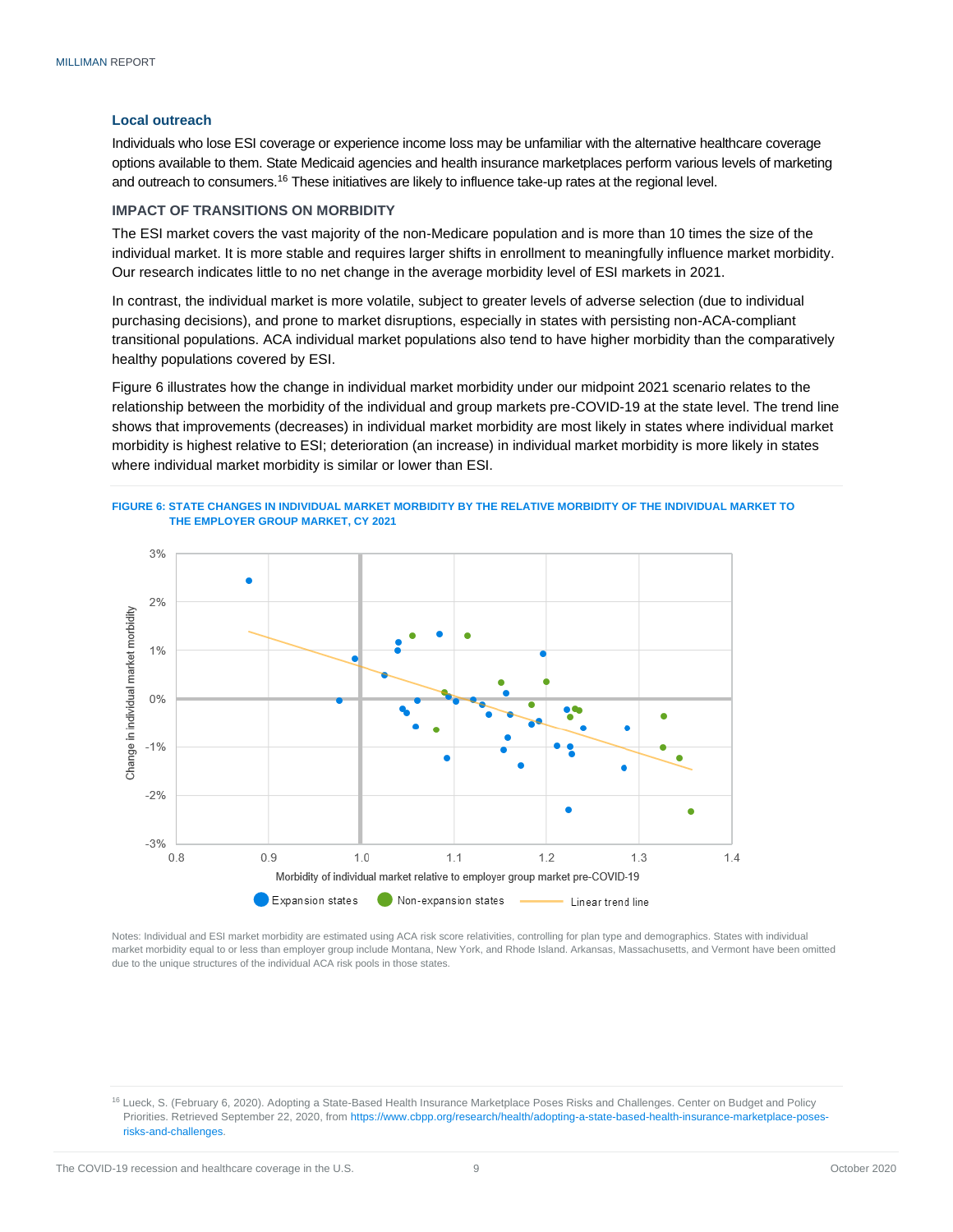#### <span id="page-10-0"></span>**Local outreach**

Individuals who lose ESI coverage or experience income loss may be unfamiliar with the alternative healthcare coverage options available to them. State Medicaid agencies and health insurance marketplaces perform various levels of marketing and outreach to consumers.<sup>16</sup> These initiatives are likely to influence take-up rates at the regional level.

#### <span id="page-10-1"></span>**IMPACT OF TRANSITIONS ON MORBIDITY**

The ESI market covers the vast majority of the non-Medicare population and is more than 10 times the size of the individual market. It is more stable and requires larger shifts in enrollment to meaningfully influence market morbidity. Our research indicates little to no net change in the average morbidity level of ESI markets in 2021.

In contrast, the individual market is more volatile, subject to greater levels of adverse selection (due to individual purchasing decisions), and prone to market disruptions, especially in states with persisting non-ACA-compliant transitional populations. ACA individual market populations also tend to have higher morbidity than the comparatively healthy populations covered by ESI.

Figure 6 illustrates how the change in individual market morbidity under our midpoint 2021 scenario relates to the relationship between the morbidity of the individual and group markets pre-COVID-19 at the state level. The trend line shows that improvements (decreases) in individual market morbidity are most likely in states where individual market morbidity is highest relative to ESI; deterioration (an increase) in individual market morbidity is more likely in states where individual market morbidity is similar or lower than ESI.





Notes: Individual and ESI market morbidity are estimated using ACA risk score relativities, controlling for plan type and demographics. States with individual market morbidity equal to or less than employer group include Montana, New York, and Rhode Island. Arkansas, Massachusetts, and Vermont have been omitted due to the unique structures of the individual ACA risk pools in those states.

<sup>16</sup> Lueck, S. (February 6, 2020). Adopting a State-Based Health Insurance Marketplace Poses Risks and Challenges. Center on Budget and Policy Priorities. Retrieved September 22, 2020, fro[m https://www.cbpp.org/research/health/adopting-a-state-based-health-insurance-marketplace-poses](https://www.cbpp.org/research/health/adopting-a-state-based-health-insurance-marketplace-poses-risks-and-challenges)[risks-and-challenges.](https://www.cbpp.org/research/health/adopting-a-state-based-health-insurance-marketplace-poses-risks-and-challenges)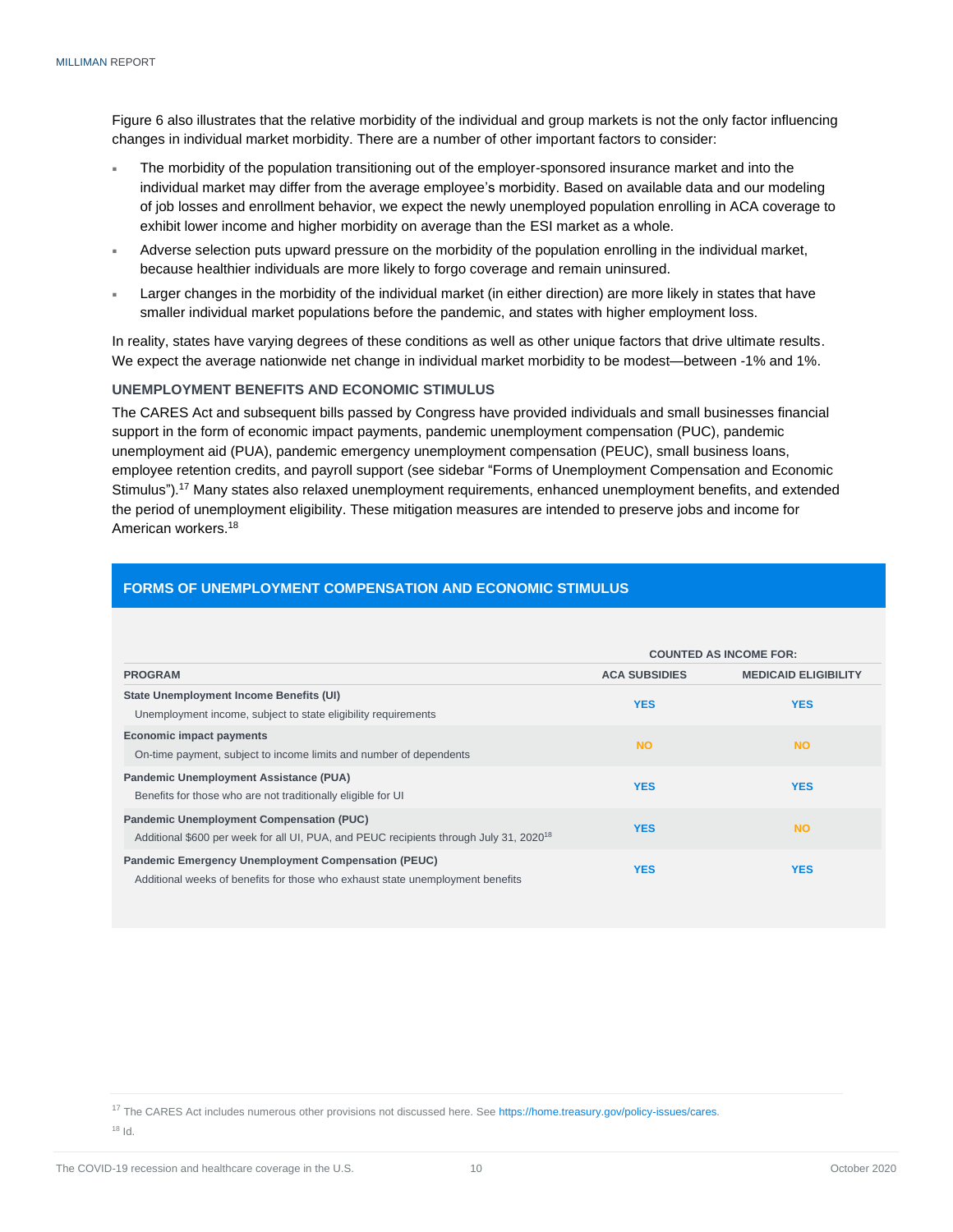Figure 6 also illustrates that the relative morbidity of the individual and group markets is not the only factor influencing changes in individual market morbidity. There are a number of other important factors to consider:

- The morbidity of the population transitioning out of the employer-sponsored insurance market and into the individual market may differ from the average employee's morbidity. Based on available data and our modeling of job losses and enrollment behavior, we expect the newly unemployed population enrolling in ACA coverage to exhibit lower income and higher morbidity on average than the ESI market as a whole.
- Adverse selection puts upward pressure on the morbidity of the population enrolling in the individual market, because healthier individuals are more likely to forgo coverage and remain uninsured.
- Larger changes in the morbidity of the individual market (in either direction) are more likely in states that have smaller individual market populations before the pandemic, and states with higher employment loss.

In reality, states have varying degrees of these conditions as well as other unique factors that drive ultimate results. We expect the average nationwide net change in individual market morbidity to be modest—between -1% and 1%.

#### <span id="page-11-0"></span>**UNEMPLOYMENT BENEFITS AND ECONOMIC STIMULUS**

The CARES Act and subsequent bills passed by Congress have provided individuals and small businesses financial support in the form of economic impact payments, pandemic unemployment compensation (PUC), pandemic unemployment aid (PUA), pandemic emergency unemployment compensation (PEUC), small business loans, employee retention credits, and payroll support (see sidebar "Forms of Unemployment Compensation and Economic Stimulus").<sup>17</sup> Many states also relaxed unemployment requirements, enhanced unemployment benefits, and extended the period of unemployment eligibility. These mitigation measures are intended to preserve jobs and income for American workers.<sup>18</sup>

|                                                                                                                                                       | <b>COUNTED AS INCOME FOR:</b> |                             |  |
|-------------------------------------------------------------------------------------------------------------------------------------------------------|-------------------------------|-----------------------------|--|
| <b>PROGRAM</b>                                                                                                                                        | <b>ACA SUBSIDIES</b>          | <b>MEDICAID ELIGIBILITY</b> |  |
| State Unemployment Income Benefits (UI)<br>Unemployment income, subject to state eligibility requirements                                             | <b>YES</b>                    | <b>YES</b>                  |  |
| <b>Economic impact payments</b><br>On-time payment, subject to income limits and number of dependents                                                 | <b>NO</b>                     | <b>NO</b>                   |  |
| Pandemic Unemployment Assistance (PUA)<br>Benefits for those who are not traditionally eligible for UI                                                | <b>YES</b>                    | <b>YES</b>                  |  |
| <b>Pandemic Unemployment Compensation (PUC)</b><br>Additional \$600 per week for all UI, PUA, and PEUC recipients through July 31, 2020 <sup>18</sup> | <b>YES</b>                    | <b>NO</b>                   |  |
| <b>Pandemic Emergency Unemployment Compensation (PEUC)</b><br>Additional weeks of benefits for those who exhaust state unemployment benefits          | <b>YES</b>                    | <b>YES</b>                  |  |

#### **FORMS OF UNEMPLOYMENT COMPENSATION AND ECONOMIC STIMULUS**

<sup>17</sup> The CARES Act includes numerous other provisions not discussed here. Se[e https://home.treasury.gov/policy-issues/cares.](https://home.treasury.gov/policy-issues/cares)

<sup>18</sup> Id.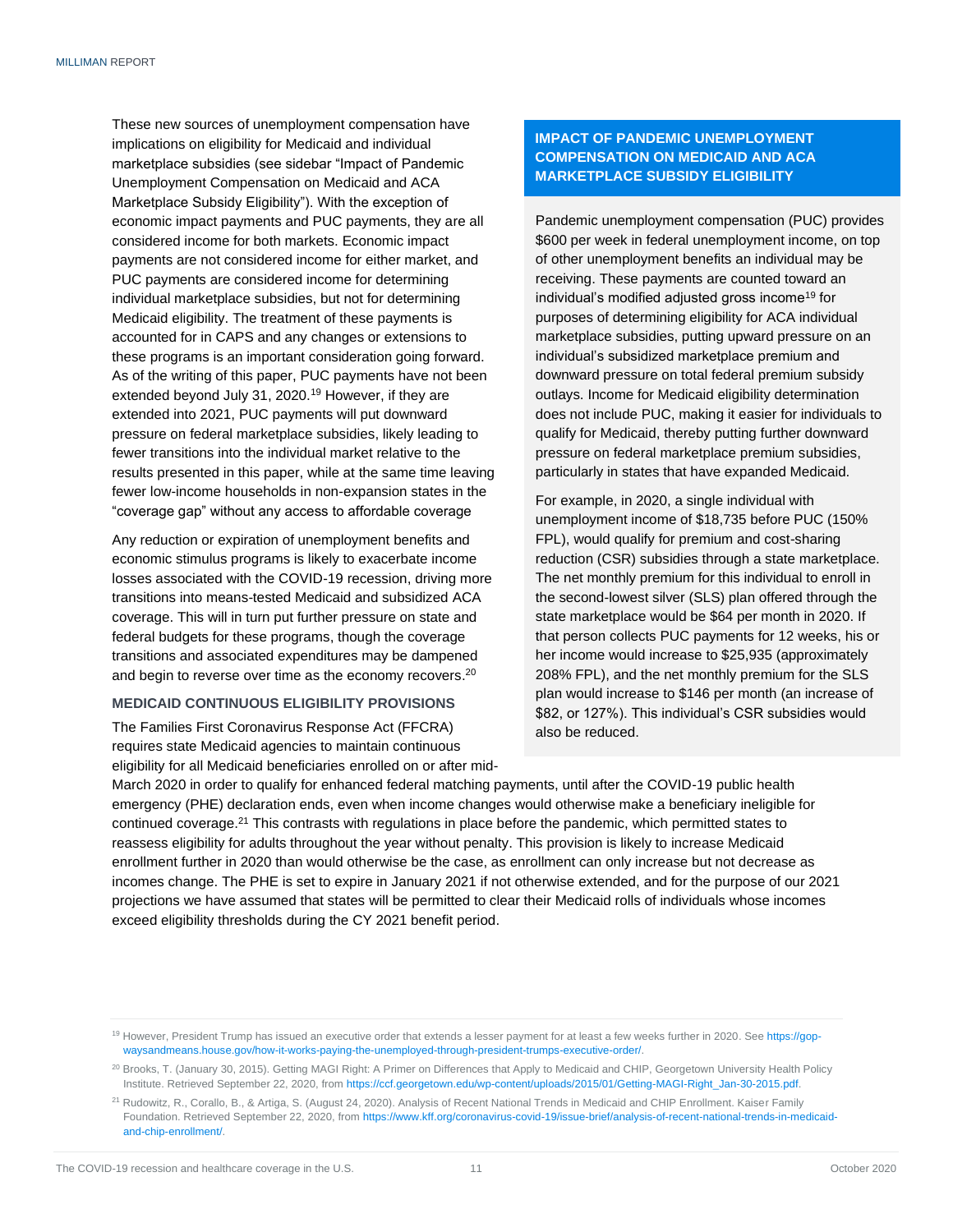These new sources of unemployment compensation have implications on eligibility for Medicaid and individual marketplace subsidies (see sidebar "Impact of Pandemic Unemployment Compensation on Medicaid and ACA Marketplace Subsidy Eligibility"). With the exception of economic impact payments and PUC payments, they are all considered income for both markets. Economic impact payments are not considered income for either market, and PUC payments are considered income for determining individual marketplace subsidies, but not for determining Medicaid eligibility. The treatment of these payments is accounted for in CAPS and any changes or extensions to these programs is an important consideration going forward. As of the writing of this paper, PUC payments have not been extended beyond July 31, 2020.<sup>19</sup> However, if they are extended into 2021, PUC payments will put downward pressure on federal marketplace subsidies, likely leading to fewer transitions into the individual market relative to the results presented in this paper, while at the same time leaving fewer low-income households in non-expansion states in the "coverage gap" without any access to affordable coverage

Any reduction or expiration of unemployment benefits and economic stimulus programs is likely to exacerbate income losses associated with the COVID-19 recession, driving more transitions into means-tested Medicaid and subsidized ACA coverage. This will in turn put further pressure on state and federal budgets for these programs, though the coverage transitions and associated expenditures may be dampened and begin to reverse over time as the economy recovers.<sup>20</sup>

#### <span id="page-12-0"></span>**MEDICAID CONTINUOUS ELIGIBILITY PROVISIONS**

The Families First Coronavirus Response Act (FFCRA) requires state Medicaid agencies to maintain continuous eligibility for all Medicaid beneficiaries enrolled on or after mid-

#### **IMPACT OF PANDEMIC UNEMPLOYMENT COMPENSATION ON MEDICAID AND ACA MARKETPLACE SUBSIDY ELIGIBILITY**

Pandemic unemployment compensation (PUC) provides \$600 per week in federal unemployment income, on top of other unemployment benefits an individual may be receiving. These payments are counted toward an individual's modified adjusted gross income<sup>19</sup> for purposes of determining eligibility for ACA individual marketplace subsidies, putting upward pressure on an individual's subsidized marketplace premium and downward pressure on total federal premium subsidy outlays. Income for Medicaid eligibility determination does not include PUC, making it easier for individuals to qualify for Medicaid, thereby putting further downward pressure on federal marketplace premium subsidies, particularly in states that have expanded Medicaid.

For example, in 2020, a single individual with unemployment income of \$18,735 before PUC (150% FPL), would qualify for premium and cost-sharing reduction (CSR) subsidies through a state marketplace. The net monthly premium for this individual to enroll in the second-lowest silver (SLS) plan offered through the state marketplace would be \$64 per month in 2020. If that person collects PUC payments for 12 weeks, his or her income would increase to \$25,935 (approximately 208% FPL), and the net monthly premium for the SLS plan would increase to \$146 per month (an increase of \$82, or 127%). This individual's CSR subsidies would also be reduced.

March 2020 in order to qualify for enhanced federal matching payments, until after the COVID-19 public health emergency (PHE) declaration ends, even when income changes would otherwise make a beneficiary ineligible for continued coverage.<sup>21</sup> This contrasts with regulations in place before the pandemic, which permitted states to reassess eligibility for adults throughout the year without penalty. This provision is likely to increase Medicaid enrollment further in 2020 than would otherwise be the case, as enrollment can only increase but not decrease as incomes change. The PHE is set to expire in January 2021 if not otherwise extended, and for the purpose of our 2021 projections we have assumed that states will be permitted to clear their Medicaid rolls of individuals whose incomes exceed eligibility thresholds during the CY 2021 benefit period.

<sup>19</sup> However, President Trump has issued an executive order that extends a lesser payment for at least a few weeks further in 2020. Se[e https://gop](https://gop-waysandmeans.house.gov/how-it-works-paying-the-unemployed-through-president-trumps-executive-order/)[waysandmeans.house.gov/how-it-works-paying-the-unemployed-through-president-trumps-executive-order/.](https://gop-waysandmeans.house.gov/how-it-works-paying-the-unemployed-through-president-trumps-executive-order/)

<sup>&</sup>lt;sup>20</sup> Brooks, T. (January 30, 2015). Getting MAGI Right: A Primer on Differences that Apply to Medicaid and CHIP, Georgetown University Health Policy Institute. Retrieved September 22, 2020, from [https://ccf.georgetown.edu/wp-content/uploads/2015/01/Getting-MAGI-Right\\_Jan-30-2015.pdf.](https://ccf.georgetown.edu/wp-content/uploads/2015/01/Getting-MAGI-Right_Jan-30-2015.pdf)

<sup>&</sup>lt;sup>21</sup> Rudowitz, R., Corallo, B., & Artiga, S. (August 24, 2020). Analysis of Recent National Trends in Medicaid and CHIP Enrollment. Kaiser Family Foundation. Retrieved September 22, 2020, fro[m https://www.kff.org/coronavirus-covid-19/issue-brief/analysis-of-recent-national-trends-in-medicaid](https://www.kff.org/coronavirus-covid-19/issue-brief/analysis-of-recent-national-trends-in-medicaid-and-chip-enrollment/)[and-chip-enrollment/.](https://www.kff.org/coronavirus-covid-19/issue-brief/analysis-of-recent-national-trends-in-medicaid-and-chip-enrollment/)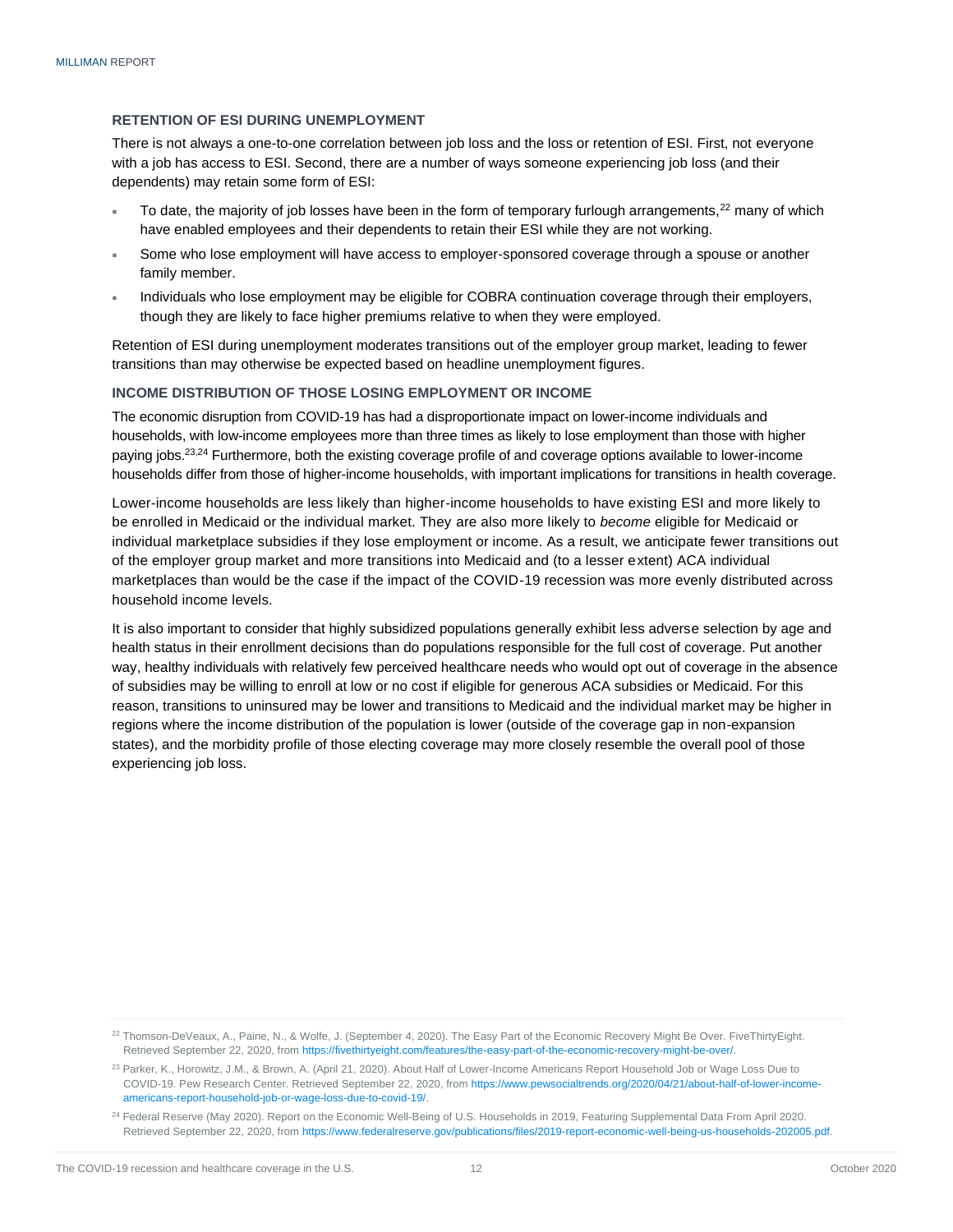#### <span id="page-13-0"></span>**RETENTION OF ESI DURING UNEMPLOYMENT**

There is not always a one-to-one correlation between job loss and the loss or retention of ESI. First, not everyone with a job has access to ESI. Second, there are a number of ways someone experiencing job loss (and their dependents) may retain some form of ESI:

- To date, the majority of job losses have been in the form of temporary furlough arrangements,<sup>22</sup> many of which have enabled employees and their dependents to retain their ESI while they are not working.
- Some who lose employment will have access to employer-sponsored coverage through a spouse or another family member.
- Individuals who lose employment may be eligible for COBRA continuation coverage through their employers, though they are likely to face higher premiums relative to when they were employed.

Retention of ESI during unemployment moderates transitions out of the employer group market, leading to fewer transitions than may otherwise be expected based on headline unemployment figures.

#### <span id="page-13-1"></span>**INCOME DISTRIBUTION OF THOSE LOSING EMPLOYMENT OR INCOME**

The economic disruption from COVID-19 has had a disproportionate impact on lower-income individuals and households, with low-income employees more than three times as likely to lose employment than those with higher paying jobs.<sup>23,24</sup> Furthermore, both the existing coverage profile of and coverage options available to lower-income households differ from those of higher-income households, with important implications for transitions in health coverage.

Lower-income households are less likely than higher-income households to have existing ESI and more likely to be enrolled in Medicaid or the individual market. They are also more likely to *become* eligible for Medicaid or individual marketplace subsidies if they lose employment or income. As a result, we anticipate fewer transitions out of the employer group market and more transitions into Medicaid and (to a lesser extent) ACA individual marketplaces than would be the case if the impact of the COVID-19 recession was more evenly distributed across household income levels.

It is also important to consider that highly subsidized populations generally exhibit less adverse selection by age and health status in their enrollment decisions than do populations responsible for the full cost of coverage. Put another way, healthy individuals with relatively few perceived healthcare needs who would opt out of coverage in the absence of subsidies may be willing to enroll at low or no cost if eligible for generous ACA subsidies or Medicaid. For this reason, transitions to uninsured may be lower and transitions to Medicaid and the individual market may be higher in regions where the income distribution of the population is lower (outside of the coverage gap in non-expansion states), and the morbidity profile of those electing coverage may more closely resemble the overall pool of those experiencing job loss.

<sup>&</sup>lt;sup>22</sup> Thomson-DeVeaux, A., Paine, N., & Wolfe, J. (September 4, 2020). The Easy Part of the Economic Recovery Might Be Over. FiveThirtyEight. Retrieved September 22, 2020, fro[m https://fivethirtyeight.com/features/the-easy-part-of-the-economic-recovery-might-be-over/.](https://fivethirtyeight.com/features/the-easy-part-of-the-economic-recovery-might-be-over/)

<sup>&</sup>lt;sup>23</sup> Parker, K., Horowitz, J.M., & Brown, A. (April 21, 2020). About Half of Lower-Income Americans Report Household Job or Wage Loss Due to COVID-19. Pew Research Center. Retrieved September 22, 2020, from [https://www.pewsocialtrends.org/2020/04/21/about-half-of-lower-income](https://www.pewsocialtrends.org/2020/04/21/about-half-of-lower-income-americans-report-household-job-or-wage-loss-due-to-covid-19/)[americans-report-household-job-or-wage-loss-due-to-covid-19/.](https://www.pewsocialtrends.org/2020/04/21/about-half-of-lower-income-americans-report-household-job-or-wage-loss-due-to-covid-19/)

<sup>&</sup>lt;sup>24</sup> Federal Reserve (May 2020). Report on the Economic Well-Being of U.S. Households in 2019, Featuring Supplemental Data From April 2020. Retrieved September 22, 2020, fro[m https://www.federalreserve.gov/publications/files/2019-report-economic-well-being-us-households-202005.pdf.](https://www.federalreserve.gov/publications/files/2019-report-economic-well-being-us-households-202005.pdf)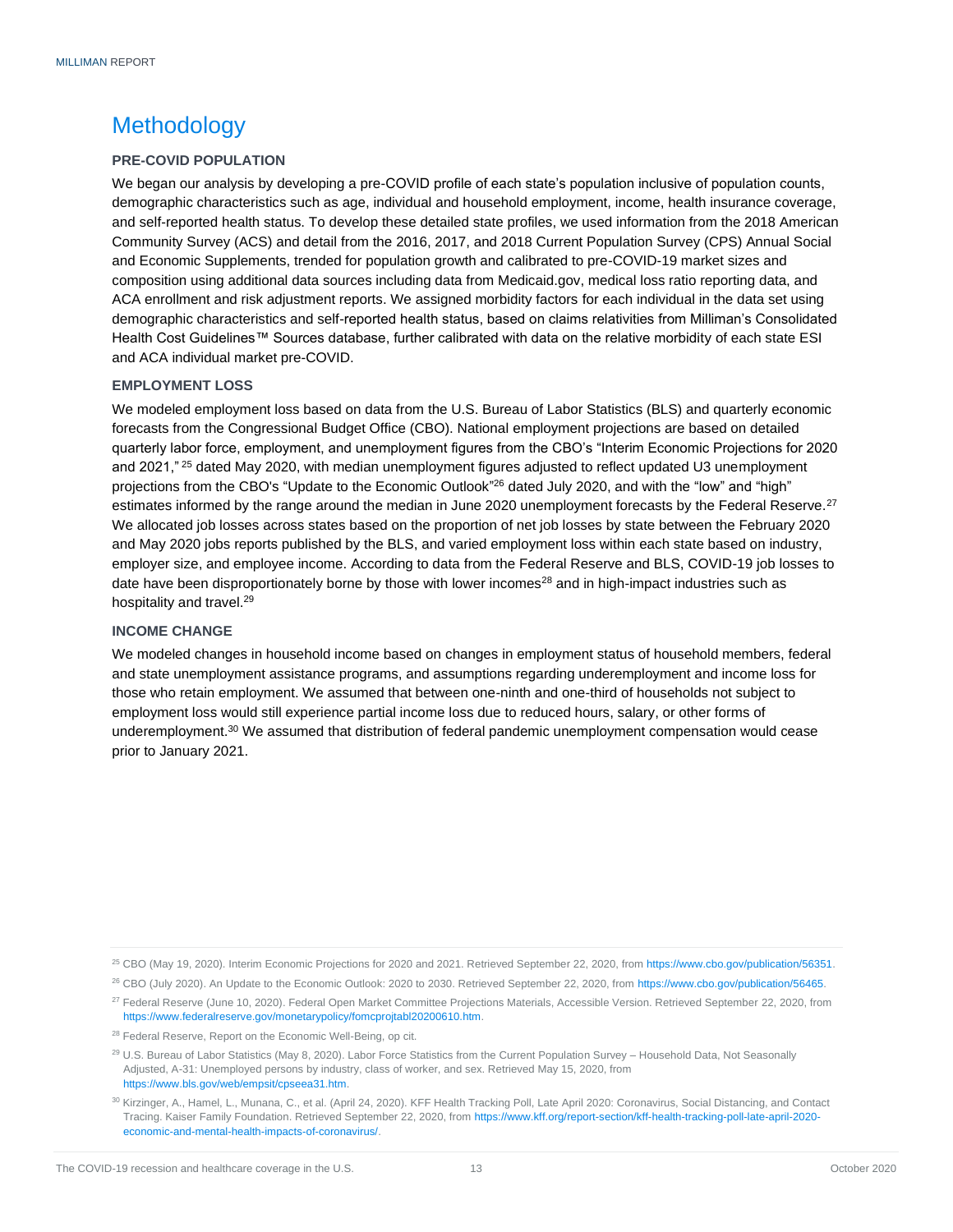### <span id="page-14-0"></span>Methodology

#### <span id="page-14-1"></span>**PRE-COVID POPULATION**

We began our analysis by developing a pre-COVID profile of each state's population inclusive of population counts, demographic characteristics such as age, individual and household employment, income, health insurance coverage, and self-reported health status. To develop these detailed state profiles, we used information from the 2018 American Community Survey (ACS) and detail from the 2016, 2017, and 2018 Current Population Survey (CPS) Annual Social and Economic Supplements, trended for population growth and calibrated to pre-COVID-19 market sizes and composition using additional data sources including data from Medicaid.gov, medical loss ratio reporting data, and ACA enrollment and risk adjustment reports. We assigned morbidity factors for each individual in the data set using demographic characteristics and self-reported health status, based on claims relativities from Milliman's Consolidated Health Cost Guidelines™ Sources database, further calibrated with data on the relative morbidity of each state ESI and ACA individual market pre-COVID.

#### <span id="page-14-2"></span>**EMPLOYMENT LOSS**

We modeled employment loss based on data from the U.S. Bureau of Labor Statistics (BLS) and quarterly economic forecasts from the Congressional Budget Office (CBO). National employment projections are based on detailed quarterly labor force, employment, and unemployment figures from the CBO's "Interim Economic Projections for 2020 and 2021," <sup>25</sup> dated May 2020, with median unemployment figures adjusted to reflect updated U3 unemployment projections from the CBO's "Update to the Economic Outlook"<sup>26</sup> dated July 2020, and with the "low" and "high" estimates informed by the range around the median in June 2020 unemployment forecasts by the Federal Reserve.<sup>27</sup> We allocated job losses across states based on the proportion of net job losses by state between the February 2020 and May 2020 jobs reports published by the BLS, and varied employment loss within each state based on industry, employer size, and employee income. According to data from the Federal Reserve and BLS, COVID-19 job losses to date have been disproportionately borne by those with lower incomes<sup>28</sup> and in high-impact industries such as hospitality and travel.<sup>29</sup>

#### <span id="page-14-3"></span>**INCOME CHANGE**

We modeled changes in household income based on changes in employment status of household members, federal and state unemployment assistance programs, and assumptions regarding underemployment and income loss for those who retain employment. We assumed that between one-ninth and one-third of households not subject to employment loss would still experience partial income loss due to reduced hours, salary, or other forms of underemployment.<sup>30</sup> We assumed that distribution of federal pandemic unemployment compensation would cease prior to January 2021.

<sup>25</sup> CBO (May 19, 2020). Interim Economic Projections for 2020 and 2021. Retrieved September 22, 2020, fro[m https://www.cbo.gov/publication/56351.](https://www.cbo.gov/publication/56351)

<sup>&</sup>lt;sup>26</sup> CBO (July 2020). An Update to the Economic Outlook: 2020 to 2030. Retrieved September 22, 2020, fro[m https://www.cbo.gov/publication/56465.](https://www.cbo.gov/publication/56465)

<sup>&</sup>lt;sup>27</sup> Federal Reserve (June 10, 2020). Federal Open Market Committee Projections Materials, Accessible Version. Retrieved September 22, 2020, from [https://www.federalreserve.gov/monetarypolicy/fomcprojtabl20200610.htm.](https://www.federalreserve.gov/monetarypolicy/fomcprojtabl20200610.htm)

<sup>&</sup>lt;sup>28</sup> Federal Reserve, Report on the Economic Well-Being, op cit.

<sup>29</sup> U.S. Bureau of Labor Statistics (May 8, 2020). Labor Force Statistics from the Current Population Survey – Household Data, Not Seasonally Adjusted, A-31: Unemployed persons by industry, class of worker, and sex. Retrieved May 15, 2020, from [https://www.bls.gov/web/empsit/cpseea31.htm.](https://www.bls.gov/web/empsit/cpseea31.htm)

<sup>30</sup> Kirzinger, A., Hamel, L., Munana, C., et al. (April 24, 2020). KFF Health Tracking Poll, Late April 2020: Coronavirus, Social Distancing, and Contact Tracing. Kaiser Family Foundation. Retrieved September 22, 2020, from [https://www.kff.org/report-section/kff-health-tracking-poll-late-april-2020](https://www.kff.org/report-section/kff-health-tracking-poll-late-april-2020-economic-and-mental-health-impacts-of-coronavirus/) [economic-and-mental-health-impacts-of-coronavirus/.](https://www.kff.org/report-section/kff-health-tracking-poll-late-april-2020-economic-and-mental-health-impacts-of-coronavirus/)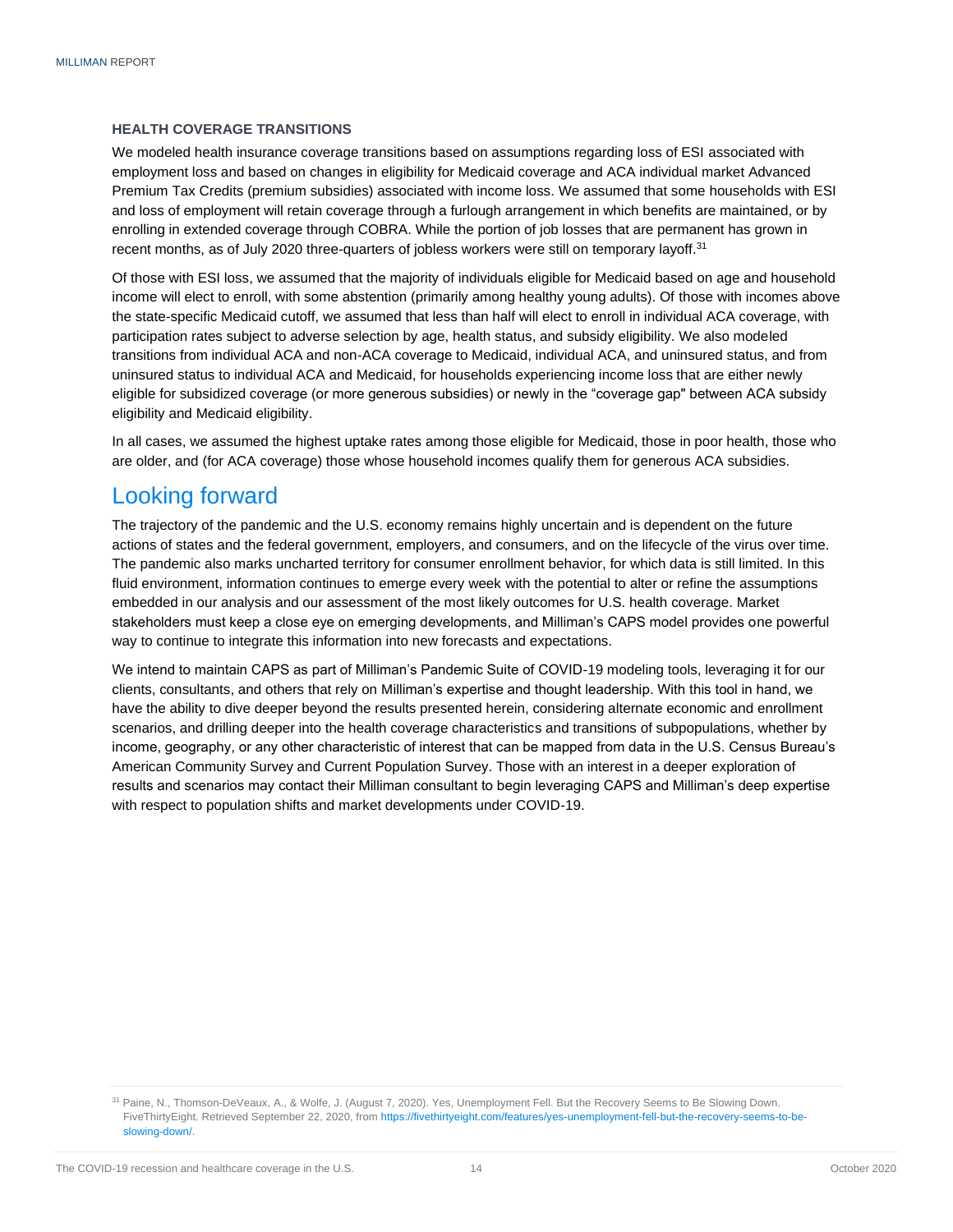#### <span id="page-15-0"></span>**HEALTH COVERAGE TRANSITIONS**

We modeled health insurance coverage transitions based on assumptions regarding loss of ESI associated with employment loss and based on changes in eligibility for Medicaid coverage and ACA individual market Advanced Premium Tax Credits (premium subsidies) associated with income loss. We assumed that some households with ESI and loss of employment will retain coverage through a furlough arrangement in which benefits are maintained, or by enrolling in extended coverage through COBRA. While the portion of job losses that are permanent has grown in recent months, as of July 2020 three-quarters of jobless workers were still on temporary layoff.<sup>31</sup>

Of those with ESI loss, we assumed that the majority of individuals eligible for Medicaid based on age and household income will elect to enroll, with some abstention (primarily among healthy young adults). Of those with incomes above the state-specific Medicaid cutoff, we assumed that less than half will elect to enroll in individual ACA coverage, with participation rates subject to adverse selection by age, health status, and subsidy eligibility. We also modeled transitions from individual ACA and non-ACA coverage to Medicaid, individual ACA, and uninsured status, and from uninsured status to individual ACA and Medicaid, for households experiencing income loss that are either newly eligible for subsidized coverage (or more generous subsidies) or newly in the "coverage gap" between ACA subsidy eligibility and Medicaid eligibility.

In all cases, we assumed the highest uptake rates among those eligible for Medicaid, those in poor health, those who are older, and (for ACA coverage) those whose household incomes qualify them for generous ACA subsidies.

### <span id="page-15-1"></span>Looking forward

The trajectory of the pandemic and the U.S. economy remains highly uncertain and is dependent on the future actions of states and the federal government, employers, and consumers, and on the lifecycle of the virus over time. The pandemic also marks uncharted territory for consumer enrollment behavior, for which data is still limited. In this fluid environment, information continues to emerge every week with the potential to alter or refine the assumptions embedded in our analysis and our assessment of the most likely outcomes for U.S. health coverage. Market stakeholders must keep a close eye on emerging developments, and Milliman's CAPS model provides one powerful way to continue to integrate this information into new forecasts and expectations.

We intend to maintain CAPS as part of Milliman's Pandemic Suite of COVID-19 modeling tools, leveraging it for our clients, consultants, and others that rely on Milliman's expertise and thought leadership. With this tool in hand, we have the ability to dive deeper beyond the results presented herein, considering alternate economic and enrollment scenarios, and drilling deeper into the health coverage characteristics and transitions of subpopulations, whether by income, geography, or any other characteristic of interest that can be mapped from data in the U.S. Census Bureau's American Community Survey and Current Population Survey. Those with an interest in a deeper exploration of results and scenarios may contact their Milliman consultant to begin leveraging CAPS and Milliman's deep expertise with respect to population shifts and market developments under COVID-19.

<sup>31</sup> Paine, N., Thomson-DeVeaux, A., & Wolfe, J. (August 7, 2020). Yes, Unemployment Fell. But the Recovery Seems to Be Slowing Down. FiveThirtyEight. Retrieved September 22, 2020, from [https://fivethirtyeight.com/features/yes-unemployment-fell-but-the-recovery-seems-to-be](https://fivethirtyeight.com/features/yes-unemployment-fell-but-the-recovery-seems-to-be-slowing-down/)[slowing-down/.](https://fivethirtyeight.com/features/yes-unemployment-fell-but-the-recovery-seems-to-be-slowing-down/)